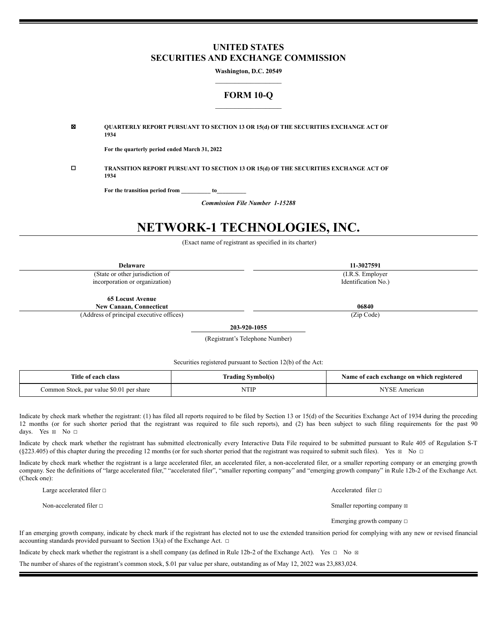## **UNITED STATES SECURITIES AND EXCHANGE COMMISSION**

**Washington, D.C. 20549**

## **FORM 10-Q**

☒ **QUARTERLY REPORT PURSUANT TO SECTION 13 OR 15(d) OF THE SECURITIES EXCHANGE ACT OF 1934**

**For the quarterly period ended March 31, 2022**

☐ **TRANSITION REPORT PURSUANT TO SECTION 13 OR 15(d) OF THE SECURITIES EXCHANGE ACT OF 1934**

**For the transition period from \_\_\_\_\_\_\_\_\_\_ to\_\_\_\_\_\_\_\_\_\_**

*Commission File Number 1-15288*

# **NETWORK-1 TECHNOLOGIES, INC.**

(Exact name of registrant as specified in its charter)

| <b>Delaware</b>                 | 11-3027591          |
|---------------------------------|---------------------|
| (State or other jurisdiction of | (I.R.S. Employer)   |
| incorporation or organization)  | Identification No.) |
|                                 |                     |
| 65 Locust Avenue                |                     |
| <b>New Canaan, Connecticut</b>  | 06840               |

(Address of principal executive offices) (Zip Code)

**203-920-1055**

(Registrant's Telephone Number)

Securities registered pursuant to Section 12(b) of the Act:

| Title of each class                      | Symbol(s)<br>rading                         | Name of each exchange on which registered |
|------------------------------------------|---------------------------------------------|-------------------------------------------|
| Common Stock, par value \$0.01 per share | NTIP<br>the contract of the contract of the | American                                  |

Indicate by check mark whether the registrant: (1) has filed all reports required to be filed by Section 13 or 15(d) of the Securities Exchange Act of 1934 during the preceding 12 months (or for such shorter period that the registrant was required to file such reports), and (2) has been subject to such filing requirements for the past 90 days. Yes  $\boxtimes$  No  $\Box$ 

Indicate by check mark whether the registrant has submitted electronically every Interactive Data File required to be submitted pursuant to Rule 405 of Regulation S-T (§223.405) of this chapter during the preceding 12 months (or for such shorter period that the registrant was required to submit such files). Yes  $\boxtimes$  No  $\Box$ 

Indicate by check mark whether the registrant is a large accelerated filer, an accelerated filer, a non-accelerated filer, or a smaller reporting company or an emerging growth company. See the definitions of "large accelerated filer," "accelerated filer", "smaller reporting company" and "emerging growth company" in Rule 12b-2 of the Exchange Act. (Check one):

Large accelerated filer □ Accelerated filer □

Non-accelerated filer □ states in the state of the state of the state of the Smaller reporting company **⊠** 

Emerging growth company ☐

If an emerging growth company, indicate by check mark if the registrant has elected not to use the extended transition period for complying with any new or revised financial accounting standards provided pursuant to Section 13(a) of the Exchange Act.  $\Box$ 

Indicate by check mark whether the registrant is a shell company (as defined in Rule 12b-2 of the Exchange Act). Yes  $\Box$  No  $\boxtimes$ 

The number of shares of the registrant's common stock, \$.01 par value per share, outstanding as of May 12, 2022 was 23,883,024.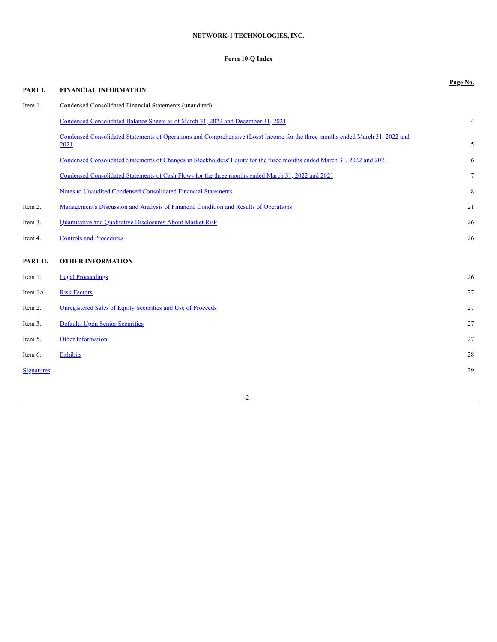## **NETWORK-1 TECHNOLOGIES, INC.**

## **Form 10-Q Index**

| PART I.           | <b>FINANCIAL INFORMATION</b>                                                                                                          | Page No.       |
|-------------------|---------------------------------------------------------------------------------------------------------------------------------------|----------------|
| Item 1.           | Condensed Consolidated Financial Statements (unaudited)                                                                               |                |
|                   | Condensed Consolidated Balance Sheets as of March 31, 2022 and December 31, 2021                                                      | $\overline{4}$ |
|                   | Condensed Consolidated Statements of Operations and Comprehensive (Loss) Income for the three months ended March 31, 2022 and<br>2021 | 5              |
|                   | Condensed Consolidated Statements of Changes in Stockholders' Equity for the three months ended March 31, 2022 and 2021               | 6              |
|                   | Condensed Consolidated Statements of Cash Flows for the three months ended March 31, 2022 and 2021                                    | $\overline{7}$ |
|                   | <b>Notes to Unaudited Condensed Consolidated Financial Statements</b>                                                                 | 8              |
| Item 2.           | Management's Discussion and Analysis of Financial Condition and Results of Operations                                                 | 21             |
| Item 3.           | Quantitative and Qualitative Disclosures About Market Risk                                                                            | 26             |
| Item 4.           | <b>Controls and Procedures</b>                                                                                                        | 26             |
| PART II.          | <b>OTHER INFORMATION</b>                                                                                                              |                |
| Item 1.           | <b>Legal Proceedings</b>                                                                                                              | 26             |
| Item 1A.          | <b>Risk Factors</b>                                                                                                                   | 27             |
| Item 2.           | Unregistered Sales of Equity Securities and Use of Proceeds                                                                           | 27             |
| Item 3.           | <b>Defaults Upon Senior Securities</b>                                                                                                | 27             |
| Item 5.           | <b>Other Information</b>                                                                                                              | 27             |
| Item 6.           | <b>Exhibits</b>                                                                                                                       | 28             |
| <b>Signatures</b> |                                                                                                                                       | 29             |
|                   |                                                                                                                                       |                |

## -2-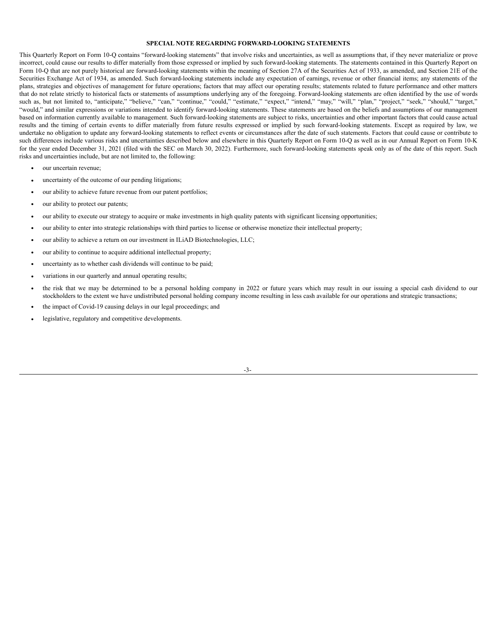## **SPECIAL NOTE REGARDING FORWARD-LOOKING STATEMENTS**

This Quarterly Report on Form 10-Q contains "forward-looking statements" that involve risks and uncertainties, as well as assumptions that, if they never materialize or prove incorrect, could cause our results to differ materially from those expressed or implied by such forward-looking statements. The statements contained in this Quarterly Report on Form 10-Q that are not purely historical are forward-looking statements within the meaning of Section 27A of the Securities Act of 1933, as amended, and Section 21E of the Securities Exchange Act of 1934, as amended. Such forward-looking statements include any expectation of earnings, revenue or other financial items; any statements of the plans, strategies and objectives of management for future operations; factors that may affect our operating results; statements related to future performance and other matters that do not relate strictly to historical facts or statements of assumptions underlying any of the foregoing. Forward-looking statements are often identified by the use of words such as, but not limited to, "anticipate," "believe," "can," "continue," "could," "estimate," "expect," "intend," "may," "will," "plan," "project," "seek," "should," "target," "would," and similar expressions or variations intended to identify forward-looking statements. These statements are based on the beliefs and assumptions of our management based on information currently available to management. Such forward-looking statements are subject to risks, uncertainties and other important factors that could cause actual results and the timing of certain events to differ materially from future results expressed or implied by such forward-looking statements. Except as required by law, we undertake no obligation to update any forward-looking statements to reflect events or circumstances after the date of such statements. Factors that could cause or contribute to such differences include various risks and uncertainties described below and elsewhere in this Quarterly Report on Form 10-Q as well as in our Annual Report on Form 10-K for the year ended December 31, 2021 (filed with the SEC on March 30, 2022). Furthermore, such forward-looking statements speak only as of the date of this report. Such risks and uncertainties include, but are not limited to, the following:

- our uncertain revenue;
- uncertainty of the outcome of our pending litigations;
- our ability to achieve future revenue from our patent portfolios;
- our ability to protect our patents;
- our ability to execute our strategy to acquire or make investments in high quality patents with significant licensing opportunities;
- our ability to enter into strategic relationships with third parties to license or otherwise monetize their intellectual property;
- our ability to achieve a return on our investment in ILiAD Biotechnologies, LLC;
- our ability to continue to acquire additional intellectual property;
- uncertainty as to whether cash dividends will continue to be paid;
- variations in our quarterly and annual operating results;
- the risk that we may be determined to be a personal holding company in 2022 or future years which may result in our issuing a special cash dividend to our stockholders to the extent we have undistributed personal holding company income resulting in less cash available for our operations and strategic transactions;
- the impact of Covid-19 causing delays in our legal proceedings; and
- legislative, regulatory and competitive developments.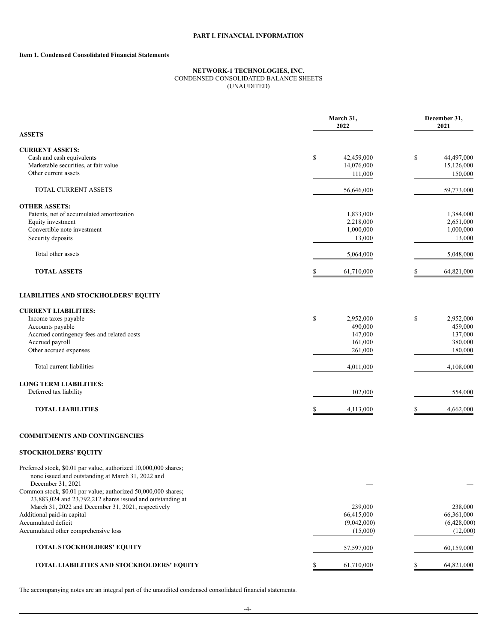## **PART I. FINANCIAL INFORMATION**

## <span id="page-3-0"></span>**Item 1. Condensed Consolidated Financial Statements**

## **NETWORK-1 TECHNOLOGIES, INC.**

CONDENSED CONSOLIDATED BALANCE SHEETS (UNAUDITED)

|                                                                  | March 31,<br>2022 |                  |
|------------------------------------------------------------------|-------------------|------------------|
| <b>ASSETS</b>                                                    |                   |                  |
| <b>CURRENT ASSETS:</b>                                           |                   |                  |
| Cash and cash equivalents                                        | \$<br>42,459,000  | \$<br>44,497,000 |
| Marketable securities, at fair value                             | 14,076,000        | 15,126,000       |
| Other current assets                                             | 111,000           | 150,000          |
| TOTAL CURRENT ASSETS                                             | 56,646,000        | 59,773,000       |
| <b>OTHER ASSETS:</b>                                             |                   |                  |
| Patents, net of accumulated amortization                         | 1,833,000         | 1,384,000        |
| Equity investment                                                | 2,218,000         | 2,651,000        |
| Convertible note investment                                      | 1,000,000         | 1,000,000        |
| Security deposits                                                | 13,000            | 13,000           |
| Total other assets                                               | 5,064,000         | 5,048,000        |
| <b>TOTAL ASSETS</b>                                              | 61,710,000<br>\$  | 64,821,000       |
|                                                                  |                   |                  |
| <b>LIABILITIES AND STOCKHOLDERS' EQUITY</b>                      |                   |                  |
| <b>CURRENT LIABILITIES:</b>                                      |                   |                  |
| Income taxes payable                                             | \$<br>2,952,000   | \$<br>2,952,000  |
| Accounts payable                                                 | 490,000           | 459,000          |
| Accrued contingency fees and related costs                       | 147,000           | 137,000          |
| Accrued payroll                                                  | 161,000           | 380,000          |
| Other accrued expenses                                           | 261,000           | 180,000          |
| Total current liabilities                                        | 4,011,000         | 4,108,000        |
| <b>LONG TERM LIABILITIES:</b>                                    |                   |                  |
| Deferred tax liability                                           | 102,000           | 554,000          |
|                                                                  |                   |                  |
| <b>TOTAL LIABILITIES</b>                                         | \$<br>4,113,000   | 4,662,000<br>S   |
| <b>COMMITMENTS AND CONTINGENCIES</b>                             |                   |                  |
| <b>STOCKHOLDERS' EQUITY</b>                                      |                   |                  |
| Preferred stock, \$0.01 par value, authorized 10,000,000 shares; |                   |                  |
| none issued and outstanding at March 31, 2022 and                |                   |                  |
| December 31, 2021                                                |                   |                  |
| Common stock, \$0.01 par value; authorized 50,000,000 shares;    |                   |                  |
| 23,883,024 and 23,792,212 shares issued and outstanding at       |                   |                  |
| March 31, 2022 and December 31, 2021, respectively               | 239,000           | 238,000          |
| Additional paid-in capital                                       | 66,415,000        | 66,361,000       |
| Accumulated deficit                                              | (9,042,000)       | (6,428,000)      |
| Accumulated other comprehensive loss                             | (15,000)          | (12,000)         |
| TOTAL STOCKHOLDERS' EQUITY                                       | 57,597,000        | 60,159,000       |
| TOTAL LIABILITIES AND STOCKHOLDERS' EQUITY                       | 61,710,000<br>\$  | 64,821,000       |
|                                                                  |                   |                  |

The accompanying notes are an integral part of the unaudited condensed consolidated financial statements.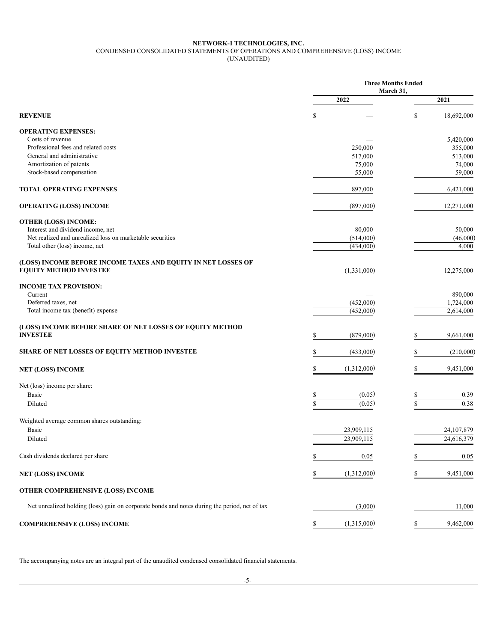### **NETWORK-1 TECHNOLOGIES, INC.** CONDENSED CONSOLIDATED STATEMENTS OF OPERATIONS AND COMPREHENSIVE (LOSS) INCOME (UNAUDITED)

<span id="page-4-0"></span>

|                                                                                               |                   | <b>Three Months Ended</b><br>March 31, |
|-----------------------------------------------------------------------------------------------|-------------------|----------------------------------------|
|                                                                                               | 2022              | 2021                                   |
| <b>REVENUE</b>                                                                                | \$                | \$<br>18,692,000                       |
| <b>OPERATING EXPENSES:</b>                                                                    |                   |                                        |
| Costs of revenue                                                                              |                   | 5,420,000                              |
| Professional fees and related costs                                                           | 250,000           | 355,000                                |
| General and administrative                                                                    | 517,000           | 513,000                                |
| Amortization of patents                                                                       | 75,000            | 74,000                                 |
| Stock-based compensation                                                                      | 55,000            | 59,000                                 |
| <b>TOTAL OPERATING EXPENSES</b>                                                               | 897,000           | 6,421,000                              |
| <b>OPERATING (LOSS) INCOME</b>                                                                | (897,000)         | 12,271,000                             |
| <b>OTHER (LOSS) INCOME:</b>                                                                   |                   |                                        |
| Interest and dividend income, net                                                             | 80,000            | 50,000                                 |
| Net realized and unrealized loss on marketable securities                                     | (514,000)         | (46,000)                               |
| Total other (loss) income, net                                                                | (434,000)         | 4,000                                  |
| (LOSS) INCOME BEFORE INCOME TAXES AND EQUITY IN NET LOSSES OF                                 |                   |                                        |
| <b>EQUITY METHOD INVESTEE</b>                                                                 | (1,331,000)       | 12,275,000                             |
| <b>INCOME TAX PROVISION:</b>                                                                  |                   |                                        |
| Current                                                                                       |                   | 890,000                                |
| Deferred taxes, net                                                                           | (452,000)         | 1,724,000                              |
| Total income tax (benefit) expense                                                            | (452,000)         | 2,614,000                              |
| (LOSS) INCOME BEFORE SHARE OF NET LOSSES OF EQUITY METHOD                                     |                   |                                        |
| <b>INVESTEE</b>                                                                               | (879,000)<br>S    | 9,661,000                              |
| SHARE OF NET LOSSES OF EQUITY METHOD INVESTEE                                                 | \$<br>(433,000)   | (210,000)                              |
| NET (LOSS) INCOME                                                                             | (1,312,000)<br>S  | 9,451,000                              |
| Net (loss) income per share:                                                                  |                   |                                        |
| <b>Basic</b>                                                                                  | (0.05)<br>S       | 0.39                                   |
| Diluted                                                                                       | S<br>(0.05)       | 0.38                                   |
| Weighted average common shares outstanding:                                                   |                   |                                        |
| Basic                                                                                         | 23,909,115        | 24, 107, 879                           |
| Diluted                                                                                       | 23,909,115        | 24,616,379                             |
| Cash dividends declared per share                                                             | S<br>0.05         | 0.05                                   |
| NET (LOSS) INCOME                                                                             | \$<br>(1,312,000) | 9,451,000                              |
| <b>OTHER COMPREHENSIVE (LOSS) INCOME</b>                                                      |                   |                                        |
| Net unrealized holding (loss) gain on corporate bonds and notes during the period, net of tax | (3,000)           | 11,000                                 |
| <b>COMPREHENSIVE (LOSS) INCOME</b>                                                            | (1,315,000)<br>S  | 9,462,000                              |

The accompanying notes are an integral part of the unaudited condensed consolidated financial statements.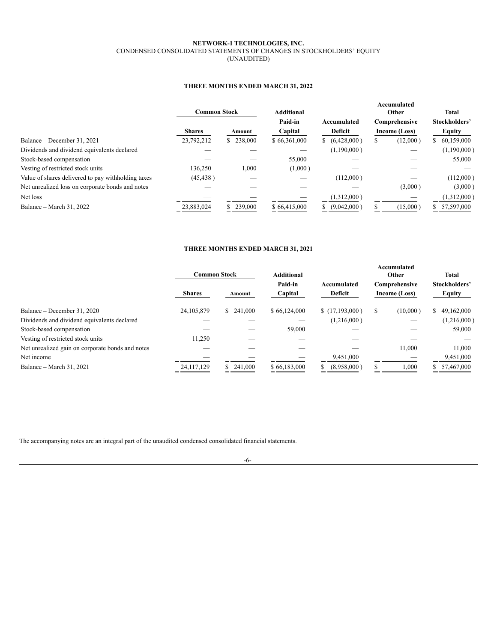## **NETWORK-1 TECHNOLOGIES, INC.** CONDENSED CONSOLIDATED STATEMENTS OF CHANGES IN STOCKHOLDERS' EQUITY (UNAUDITED)

## **THREE MONTHS ENDED MARCH 31, 2022**

<span id="page-5-0"></span>

|                                                    | <b>Common Stock</b> |            | <b>Additional</b>  |                        | Accumulated<br>Other           | <b>Total</b>                   |
|----------------------------------------------------|---------------------|------------|--------------------|------------------------|--------------------------------|--------------------------------|
|                                                    | <b>Shares</b>       | Amount     | Paid-in<br>Capital | Accumulated<br>Deficit | Comprehensive<br>Income (Loss) | Stockholders'<br><b>Equity</b> |
| Balance – December 31, 2021                        | 23,792,212          | \$ 238,000 | \$66,361,000       | \$(6,428,000)          | (12,000)<br>ъ                  | \$60,159,000                   |
| Dividends and dividend equivalents declared        |                     |            |                    | (1,190,000)            |                                | (1,190,000)                    |
| Stock-based compensation                           |                     |            | 55,000             |                        |                                | 55,000                         |
| Vesting of restricted stock units                  | 136,250             | 000.1      | (1,000)            |                        |                                |                                |
| Value of shares delivered to pay withholding taxes | (45, 438)           |            |                    | (112,000)              |                                | (112,000)                      |
| Net unrealized loss on corporate bonds and notes   |                     |            |                    |                        | (3,000)                        | (3,000)                        |
| Net loss                                           |                     |            |                    | (1,312,000)            |                                | (1,312,000)                    |
| Balance – March 31, 2022                           | 23.883.024          | 239,000    | \$66,415,000       | (9,042,000)            | (15,000)                       | 57,597,000                     |

## **THREE MONTHS ENDED MARCH 31, 2021**

|                                                  |               | Common Stock |                    |                        | Accumulated<br><b>Other</b>    | <b>Total</b>                   |  |
|--------------------------------------------------|---------------|--------------|--------------------|------------------------|--------------------------------|--------------------------------|--|
|                                                  | <b>Shares</b> | Amount       | Paid-in<br>Capital | Accumulated<br>Deficit | Comprehensive<br>Income (Loss) | Stockholders'<br><b>Equity</b> |  |
| Balance – December 31, 2020                      | 24, 105, 879  | \$ 241,000   | \$66,124,000       | \$(17,193,000)         | S<br>(10,000)                  | 49,162,000<br>S.               |  |
| Dividends and dividend equivalents declared      |               |              |                    | (1,216,000)            |                                | (1,216,000)                    |  |
| Stock-based compensation                         |               |              | 59,000             |                        |                                | 59,000                         |  |
| Vesting of restricted stock units                | 11,250        |              |                    |                        |                                |                                |  |
| Net unrealized gain on corporate bonds and notes |               |              |                    |                        | 11.000                         | 11,000                         |  |
| Net income                                       |               |              |                    | 9,451,000              |                                | 9,451,000                      |  |
| Balance – March 31, 2021                         | 24, 117, 129  | \$241,000    | \$66,183,000       | (8,958,000)            | 1,000                          | 57,467,000                     |  |

The accompanying notes are an integral part of the unaudited condensed consolidated financial statements.

-6-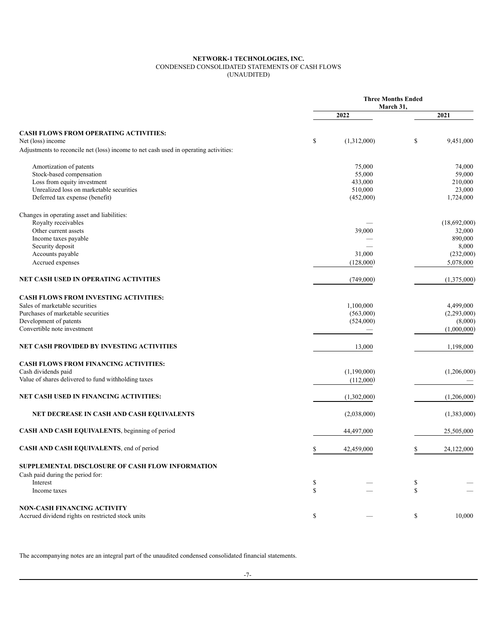#### **NETWORK-1 TECHNOLOGIES, INC.** CONDENSED CONSOLIDATED STATEMENTS OF CASH FLOWS (UNAUDITED)

|                                                                                      | <b>Three Months Ended</b><br>March 31, |             |    |              |
|--------------------------------------------------------------------------------------|----------------------------------------|-------------|----|--------------|
|                                                                                      |                                        | 2022        |    | 2021         |
|                                                                                      |                                        |             |    |              |
| <b>CASH FLOWS FROM OPERATING ACTIVITIES:</b>                                         | \$                                     | (1,312,000) | \$ | 9.451.000    |
| Net (loss) income                                                                    |                                        |             |    |              |
| Adjustments to reconcile net (loss) income to net cash used in operating activities: |                                        |             |    |              |
| Amortization of patents                                                              |                                        | 75,000      |    | 74,000       |
| Stock-based compensation                                                             |                                        | 55,000      |    | 59,000       |
| Loss from equity investment                                                          |                                        | 433,000     |    | 210,000      |
| Unrealized loss on marketable securities                                             |                                        | 510,000     |    | 23,000       |
| Deferred tax expense (benefit)                                                       |                                        | (452,000)   |    | 1,724,000    |
| Changes in operating asset and liabilities:                                          |                                        |             |    |              |
| Royalty receivables                                                                  |                                        |             |    | (18,692,000) |
| Other current assets                                                                 |                                        | 39,000      |    | 32,000       |
| Income taxes payable                                                                 |                                        |             |    | 890,000      |
|                                                                                      |                                        |             |    |              |
| Security deposit                                                                     |                                        |             |    | 8,000        |
| Accounts payable                                                                     |                                        | 31,000      |    | (232,000)    |
| Accrued expenses                                                                     |                                        | (128,000)   |    | 5,078,000    |
| <b>NET CASH USED IN OPERATING ACTIVITIES</b>                                         |                                        | (749,000)   |    | (1,375,000)  |
| <b>CASH FLOWS FROM INVESTING ACTIVITIES:</b>                                         |                                        |             |    |              |
| Sales of marketable securities                                                       |                                        | 1,100,000   |    | 4,499,000    |
| Purchases of marketable securities                                                   |                                        | (563,000)   |    | (2,293,000)  |
| Development of patents                                                               |                                        | (524,000)   |    | (8,000)      |
| Convertible note investment                                                          |                                        |             |    | (1,000,000)  |
| NET CASH PROVIDED BY INVESTING ACTIVITIES                                            |                                        | 13,000      |    | 1,198,000    |
| <b>CASH FLOWS FROM FINANCING ACTIVITIES:</b>                                         |                                        |             |    |              |
| Cash dividends paid                                                                  |                                        | (1,190,000) |    | (1,206,000)  |
| Value of shares delivered to fund withholding taxes                                  |                                        | (112,000)   |    |              |
|                                                                                      |                                        |             |    |              |
| NET CASH USED IN FINANCING ACTIVITIES:                                               |                                        | (1,302,000) |    | (1,206,000)  |
| NET DECREASE IN CASH AND CASH EQUIVALENTS                                            |                                        | (2,038,000) |    | (1,383,000)  |
| CASH AND CASH EQUIVALENTS, beginning of period                                       |                                        | 44,497,000  |    | 25,505,000   |
| CASH AND CASH EQUIVALENTS, end of period                                             | \$                                     | 42,459,000  |    | 24,122,000   |
| SUPPLEMENTAL DISCLOSURE OF CASH FLOW INFORMATION                                     |                                        |             |    |              |
|                                                                                      |                                        |             |    |              |
| Cash paid during the period for:                                                     |                                        |             |    |              |
| Interest                                                                             | \$                                     |             | \$ |              |
| Income taxes                                                                         | \$                                     |             | \$ |              |
| <b>NON-CASH FINANCING ACTIVITY</b>                                                   |                                        |             |    |              |
| Accrued dividend rights on restricted stock units                                    | \$                                     |             | \$ | 10,000       |
|                                                                                      |                                        |             |    |              |

The accompanying notes are an integral part of the unaudited condensed consolidated financial statements.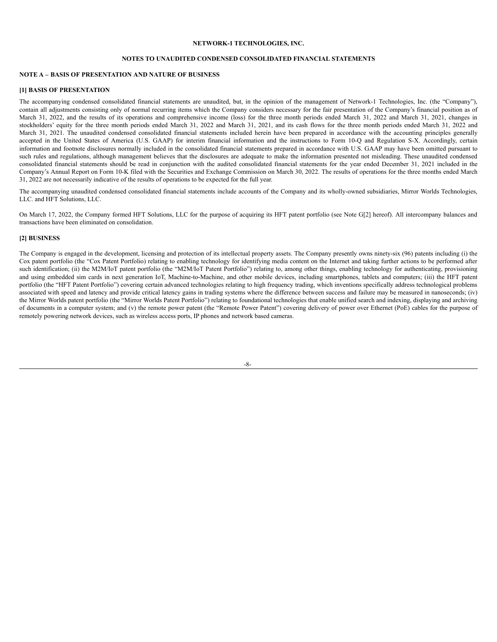#### **NETWORK-1 TECHNOLOGIES, INC.**

#### **NOTES TO UNAUDITED CONDENSED CONSOLIDATED FINANCIAL STATEMENTS**

#### <span id="page-7-0"></span>**NOTE A – BASIS OF PRESENTATION AND NATURE OF BUSINESS**

### **[1] BASIS OF PRESENTATION**

The accompanying condensed consolidated financial statements are unaudited, but, in the opinion of the management of Network-1 Technologies, Inc. (the "Company"), contain all adjustments consisting only of normal recurring items which the Company considers necessary for the fair presentation of the Company's financial position as of March 31, 2022, and the results of its operations and comprehensive income (loss) for the three month periods ended March 31, 2022 and March 31, 2021, changes in stockholders' equity for the three month periods ended March 31, 2022 and March 31, 2021, and its cash flows for the three month periods ended March 31, 2022 and March 31, 2021. The unaudited condensed consolidated financial statements included herein have been prepared in accordance with the accounting principles generally accepted in the United States of America (U.S. GAAP) for interim financial information and the instructions to Form 10-Q and Regulation S-X. Accordingly, certain information and footnote disclosures normally included in the consolidated financial statements prepared in accordance with U.S. GAAP may have been omitted pursuant to such rules and regulations, although management believes that the disclosures are adequate to make the information presented not misleading. These unaudited condensed consolidated financial statements should be read in conjunction with the audited consolidated financial statements for the year ended December 31, 2021 included in the Company's Annual Report on Form 10-K filed with the Securities and Exchange Commission on March 30, 2022. The results of operations for the three months ended March 31, 2022 are not necessarily indicative of the results of operations to be expected for the full year.

The accompanying unaudited condensed consolidated financial statements include accounts of the Company and its wholly-owned subsidiaries, Mirror Worlds Technologies, LLC. and HFT Solutions, LLC.

On March 17, 2022, the Company formed HFT Solutions, LLC for the purpose of acquiring its HFT patent portfolio (see Note G[2] hereof). All intercompany balances and transactions have been eliminated on consolidation.

## **[2] BUSINESS**

The Company is engaged in the development, licensing and protection of its intellectual property assets. The Company presently owns ninety-six (96) patents including (i) the Cox patent portfolio (the "Cox Patent Portfolio) relating to enabling technology for identifying media content on the Internet and taking further actions to be performed after such identification; (ii) the M2M/IoT patent portfolio (the "M2M/IoT Patent Portfolio") relating to, among other things, enabling technology for authenticating, provisioning and using embedded sim cards in next generation IoT, Machine-to-Machine, and other mobile devices, including smartphones, tablets and computers; (iii) the HFT patent portfolio (the "HFT Patent Portfolio") covering certain advanced technologies relating to high frequency trading, which inventions specifically address technological problems associated with speed and latency and provide critical latency gains in trading systems where the difference between success and failure may be measured in nanoseconds; (iv) the Mirror Worlds patent portfolio (the "Mirror Worlds Patent Portfolio") relating to foundational technologies that enable unified search and indexing, displaying and archiving of documents in a computer system; and (v) the remote power patent (the "Remote Power Patent") covering delivery of power over Ethernet (PoE) cables for the purpose of remotely powering network devices, such as wireless access ports, IP phones and network based cameras.

-8-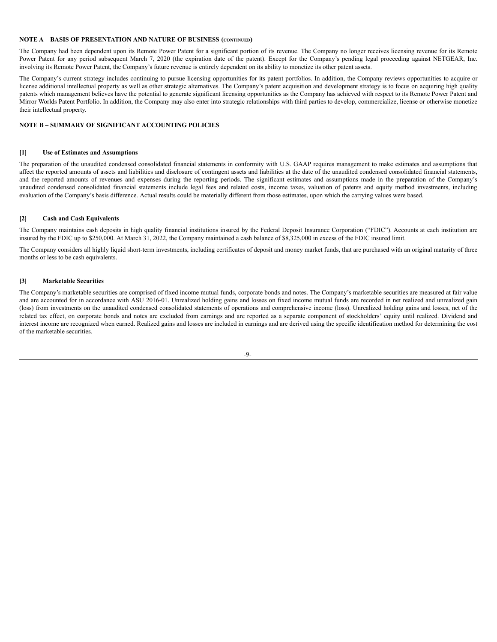## **NOTE A – BASIS OF PRESENTATION AND NATURE OF BUSINESS (CONTINUED)**

The Company had been dependent upon its Remote Power Patent for a significant portion of its revenue. The Company no longer receives licensing revenue for its Remote Power Patent for any period subsequent March 7, 2020 (the expiration date of the patent). Except for the Company's pending legal proceeding against NETGEAR, Inc. involving its Remote Power Patent, the Company's future revenue is entirely dependent on its ability to monetize its other patent assets.

The Company's current strategy includes continuing to pursue licensing opportunities for its patent portfolios. In addition, the Company reviews opportunities to acquire or license additional intellectual property as well as other strategic alternatives. The Company's patent acquisition and development strategy is to focus on acquiring high quality patents which management believes have the potential to generate significant licensing opportunities as the Company has achieved with respect to its Remote Power Patent and Mirror Worlds Patent Portfolio. In addition, the Company may also enter into strategic relationships with third parties to develop, commercialize, license or otherwise monetize their intellectual property.

## **NOTE B – SUMMARY OF SIGNIFICANT ACCOUNTING POLICIES**

#### **[1] Use of Estimates and Assumptions**

The preparation of the unaudited condensed consolidated financial statements in conformity with U.S. GAAP requires management to make estimates and assumptions that affect the reported amounts of assets and liabilities and disclosure of contingent assets and liabilities at the date of the unaudited condensed consolidated financial statements, and the reported amounts of revenues and expenses during the reporting periods. The significant estimates and assumptions made in the preparation of the Company's unaudited condensed consolidated financial statements include legal fees and related costs, income taxes, valuation of patents and equity method investments, including evaluation of the Company's basis difference. Actual results could be materially different from those estimates, upon which the carrying values were based.

#### **[2] Cash and Cash Equivalents**

The Company maintains cash deposits in high quality financial institutions insured by the Federal Deposit Insurance Corporation ("FDIC"). Accounts at each institution are insured by the FDIC up to \$250,000. At March 31, 2022, the Company maintained a cash balance of \$8,325,000 in excess of the FDIC insured limit.

The Company considers all highly liquid short-term investments, including certificates of deposit and money market funds, that are purchased with an original maturity of three months or less to be cash equivalents.

## **[3] Marketable Securities**

The Company's marketable securities are comprised of fixed income mutual funds, corporate bonds and notes. The Company's marketable securities are measured at fair value and are accounted for in accordance with ASU 2016-01. Unrealized holding gains and losses on fixed income mutual funds are recorded in net realized and unrealized gain (loss) from investments on the unaudited condensed consolidated statements of operations and comprehensive income (loss). Unrealized holding gains and losses, net of the related tax effect, on corporate bonds and notes are excluded from earnings and are reported as a separate component of stockholders' equity until realized. Dividend and interest income are recognized when earned. Realized gains and losses are included in earnings and are derived using the specific identification method for determining the cost of the marketable securities.

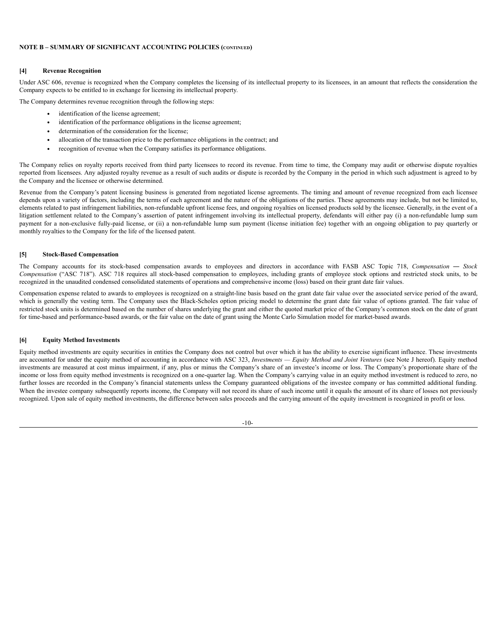## **NOTE B – SUMMARY OF SIGNIFICANT ACCOUNTING POLICIES (CONTINUED)**

#### **[4] Revenue Recognition**

Under ASC 606, revenue is recognized when the Company completes the licensing of its intellectual property to its licensees, in an amount that reflects the consideration the Company expects to be entitled to in exchange for licensing its intellectual property.

The Company determines revenue recognition through the following steps:

- identification of the license agreement;
- identification of the performance obligations in the license agreement;
- determination of the consideration for the license;
- allocation of the transaction price to the performance obligations in the contract; and
- recognition of revenue when the Company satisfies its performance obligations.

The Company relies on royalty reports received from third party licensees to record its revenue. From time to time, the Company may audit or otherwise dispute royalties reported from licensees. Any adjusted royalty revenue as a result of such audits or dispute is recorded by the Company in the period in which such adjustment is agreed to by the Company and the licensee or otherwise determined.

Revenue from the Company's patent licensing business is generated from negotiated license agreements. The timing and amount of revenue recognized from each licensee depends upon a variety of factors, including the terms of each agreement and the nature of the obligations of the parties. These agreements may include, but not be limited to, elements related to past infringement liabilities, non-refundable upfront license fees, and ongoing royalties on licensed products sold by the licensee. Generally, in the event of a litigation settlement related to the Company's assertion of patent infringement involving its intellectual property, defendants will either pay (i) a non-refundable lump sum payment for a non-exclusive fully-paid license, or (ii) a non-refundable lump sum payment (license initiation fee) together with an ongoing obligation to pay quarterly or monthly royalties to the Company for the life of the licensed patent.

## **[5] Stock-Based Compensation**

The Company accounts for its stock-based compensation awards to employees and directors in accordance with FASB ASC Topic 718, *Compensation* **―** *Stock Compensation* ("ASC 718"). ASC 718 requires all stock-based compensation to employees, including grants of employee stock options and restricted stock units, to be recognized in the unaudited condensed consolidated statements of operations and comprehensive income (loss) based on their grant date fair values.

Compensation expense related to awards to employees is recognized on a straight-line basis based on the grant date fair value over the associated service period of the award, which is generally the vesting term. The Company uses the Black-Scholes option pricing model to determine the grant date fair value of options granted. The fair value of restricted stock units is determined based on the number of shares underlying the grant and either the quoted market price of the Company's common stock on the date of grant for time-based and performance-based awards, or the fair value on the date of grant using the Monte Carlo Simulation model for market-based awards.

### **[6] Equity Method Investments**

Equity method investments are equity securities in entities the Company does not control but over which it has the ability to exercise significant influence. These investments are accounted for under the equity method of accounting in accordance with ASC 323, *Investments — Equity Method and Joint Ventures* (see Note J hereof). Equity method investments are measured at cost minus impairment, if any, plus or minus the Company's share of an investee's income or loss. The Company's proportionate share of the income or loss from equity method investments is recognized on a one-quarter lag. When the Company's carrying value in an equity method investment is reduced to zero, no further losses are recorded in the Company's financial statements unless the Company guaranteed obligations of the investee company or has committed additional funding. When the investee company subsequently reports income, the Company will not record its share of such income until it equals the amount of its share of losses not previously recognized. Upon sale of equity method investments, the difference between sales proceeds and the carrying amount of the equity investment is recognized in profit or loss.

-10-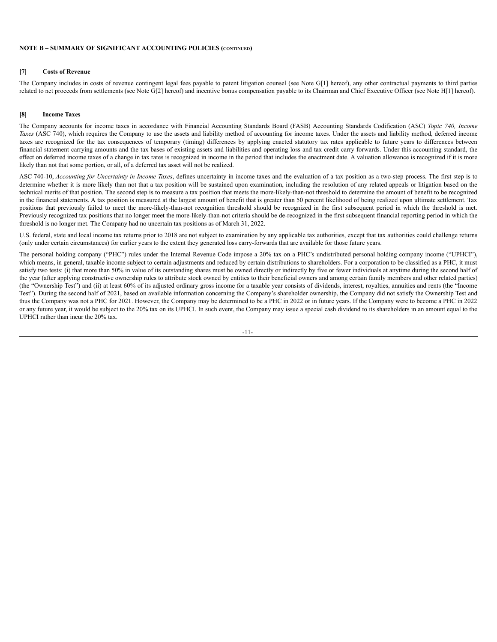## **NOTE B – SUMMARY OF SIGNIFICANT ACCOUNTING POLICIES (CONTINUED)**

### **[7] Costs of Revenue**

The Company includes in costs of revenue contingent legal fees payable to patent litigation counsel (see Note G[1] hereof), any other contractual payments to third parties related to net proceeds from settlements (see Note G[2] hereof) and incentive bonus compensation payable to its Chairman and Chief Executive Officer (see Note H[1] hereof).

## **[8] Income Taxes**

The Company accounts for income taxes in accordance with Financial Accounting Standards Board (FASB) Accounting Standards Codification (ASC) *Topic 740, Income Taxes* (ASC 740), which requires the Company to use the assets and liability method of accounting for income taxes. Under the assets and liability method, deferred income taxes are recognized for the tax consequences of temporary (timing) differences by applying enacted statutory tax rates applicable to future years to differences between financial statement carrying amounts and the tax bases of existing assets and liabilities and operating loss and tax credit carry forwards. Under this accounting standard, the effect on deferred income taxes of a change in tax rates is recognized in income in the period that includes the enactment date. A valuation allowance is recognized if it is more likely than not that some portion, or all, of a deferred tax asset will not be realized.

ASC 740-10, *Accounting for Uncertainty in Income Taxes*, defines uncertainty in income taxes and the evaluation of a tax position as a two-step process. The first step is to determine whether it is more likely than not that a tax position will be sustained upon examination, including the resolution of any related appeals or litigation based on the technical merits of that position. The second step is to measure a tax position that meets the more-likely-than-not threshold to determine the amount of benefit to be recognized in the financial statements. A tax position is measured at the largest amount of benefit that is greater than 50 percent likelihood of being realized upon ultimate settlement. Tax positions that previously failed to meet the more-likely-than-not recognition threshold should be recognized in the first subsequent period in which the threshold is met. Previously recognized tax positions that no longer meet the more-likely-than-not criteria should be de-recognized in the first subsequent financial reporting period in which the threshold is no longer met. The Company had no uncertain tax positions as of March 31, 2022.

U.S. federal, state and local income tax returns prior to 2018 are not subject to examination by any applicable tax authorities, except that tax authorities could challenge returns (only under certain circumstances) for earlier years to the extent they generated loss carry-forwards that are available for those future years.

The personal holding company ("PHC") rules under the Internal Revenue Code impose a 20% tax on a PHC's undistributed personal holding company income ("UPHCI"), which means, in general, taxable income subject to certain adjustments and reduced by certain distributions to shareholders. For a corporation to be classified as a PHC, it must satisfy two tests: (i) that more than 50% in value of its outstanding shares must be owned directly or indirectly by five or fewer individuals at anytime during the second half of the year (after applying constructive ownership rules to attribute stock owned by entities to their beneficial owners and among certain family members and other related parties) (the "Ownership Test") and (ii) at least 60% of its adjusted ordinary gross income for a taxable year consists of dividends, interest, royalties, annuities and rents (the "Income Test"). During the second half of 2021, based on available information concerning the Company's shareholder ownership, the Company did not satisfy the Ownership Test and thus the Company was not a PHC for 2021. However, the Company may be determined to be a PHC in 2022 or in future years. If the Company were to become a PHC in 2022 or any future year, it would be subject to the 20% tax on its UPHCI. In such event, the Company may issue a special cash dividend to its shareholders in an amount equal to the UPHCI rather than incur the 20% tax.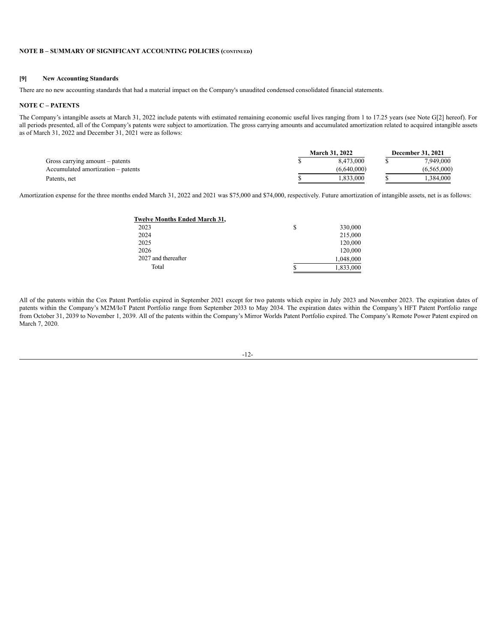#### **NOTE B – SUMMARY OF SIGNIFICANT ACCOUNTING POLICIES (CONTINUED)**

#### **[9] New Accounting Standards**

There are no new accounting standards that had a material impact on the Company's unaudited condensed consolidated financial statements.

#### **NOTE C – PATENTS**

The Company's intangible assets at March 31, 2022 include patents with estimated remaining economic useful lives ranging from 1 to 17.25 years (see Note G[2] hereof). For all periods presented, all of the Company's patents were subject to amortization. The gross carrying amounts and accumulated amortization related to acquired intangible assets as of March 31, 2022 and December 31, 2021 were as follows:

|                                    | March 31, 2022 |             | <b>December 31, 2021</b> |             |
|------------------------------------|----------------|-------------|--------------------------|-------------|
| Gross carrying amount – patents    |                | 8.473.000   |                          | 7,949,000   |
| Accumulated amortization – patents |                | (6,640,000) |                          | (6,565,000) |
| Patents, net                       |                | .833.000    |                          | .384.000    |

Amortization expense for the three months ended March 31, 2022 and 2021 was \$75,000 and \$74,000, respectively. Future amortization of intangible assets, net is as follows:

| <b>Twelve Months Ended March 31,</b> |    |           |
|--------------------------------------|----|-----------|
| 2023                                 | \$ | 330,000   |
| 2024                                 |    | 215,000   |
| 2025                                 |    | 120,000   |
| 2026                                 |    | 120,000   |
| 2027 and thereafter                  |    | 1,048,000 |
| Total                                | S  | 1,833,000 |

All of the patents within the Cox Patent Portfolio expired in September 2021 except for two patents which expire in July 2023 and November 2023. The expiration dates of patents within the Company's M2M/IoT Patent Portfolio range from September 2033 to May 2034. The expiration dates within the Company's HFT Patent Portfolio range from October 31, 2039 to November 1, 2039. All of the patents within the Company's Mirror Worlds Patent Portfolio expired. The Company's Remote Power Patent expired on March 7, 2020.

-12-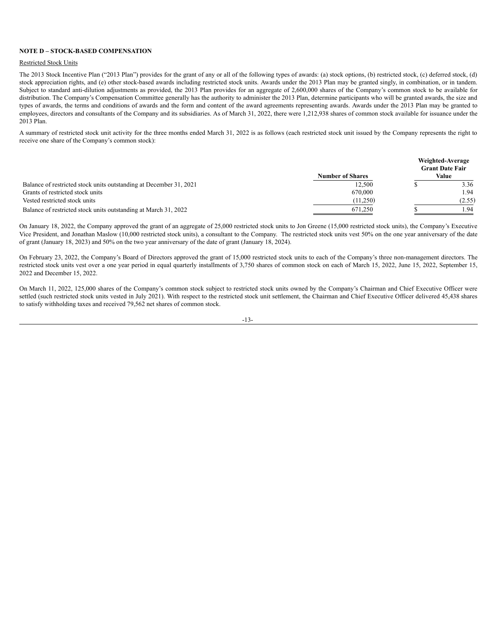### **NOTE D – STOCK-BASED COMPENSATION**

## Restricted Stock Units

The 2013 Stock Incentive Plan ("2013 Plan") provides for the grant of any or all of the following types of awards: (a) stock options, (b) restricted stock, (c) deferred stock, (d) stock appreciation rights, and (e) other stock-based awards including restricted stock units. Awards under the 2013 Plan may be granted singly, in combination, or in tandem. Subject to standard anti-dilution adjustments as provided, the 2013 Plan provides for an aggregate of 2,600,000 shares of the Company's common stock to be available for distribution. The Company's Compensation Committee generally has the authority to administer the 2013 Plan, determine participants who will be granted awards, the size and types of awards, the terms and conditions of awards and the form and content of the award agreements representing awards. Awards under the 2013 Plan may be granted to employees, directors and consultants of the Company and its subsidiaries. As of March 31, 2022, there were 1,212,938 shares of common stock available for issuance under the 2013 Plan.

A summary of restricted stock unit activity for the three months ended March 31, 2022 is as follows (each restricted stock unit issued by the Company represents the right to receive one share of the Company's common stock):

|                                                                    |                         | Weighted-Average<br><b>Grant Date Fair</b> |
|--------------------------------------------------------------------|-------------------------|--------------------------------------------|
|                                                                    | <b>Number of Shares</b> | Value                                      |
| Balance of restricted stock units outstanding at December 31, 2021 | 12.500                  | 3.36                                       |
| Grants of restricted stock units                                   | 670,000                 | - 94                                       |
| Vested restricted stock units                                      | (11,250)                | (2.55)                                     |
| Balance of restricted stock units outstanding at March 31, 2022    | 671,250                 | l.94                                       |

On January 18, 2022, the Company approved the grant of an aggregate of 25,000 restricted stock units to Jon Greene (15,000 restricted stock units), the Company's Executive Vice President, and Jonathan Maslow (10,000 restricted stock units), a consultant to the Company. The restricted stock units vest 50% on the one year anniversary of the date of grant (January 18, 2023) and 50% on the two year anniversary of the date of grant (January 18, 2024).

On February 23, 2022, the Company's Board of Directors approved the grant of 15,000 restricted stock units to each of the Company's three non-management directors. The restricted stock units vest over a one year period in equal quarterly installments of 3,750 shares of common stock on each of March 15, 2022, June 15, 2022, September 15, 2022 and December 15, 2022.

On March 11, 2022, 125,000 shares of the Company's common stock subject to restricted stock units owned by the Company's Chairman and Chief Executive Officer were settled (such restricted stock units vested in July 2021). With respect to the restricted stock unit settlement, the Chairman and Chief Executive Officer delivered 45,438 shares to satisfy withholding taxes and received 79,562 net shares of common stock.

-13-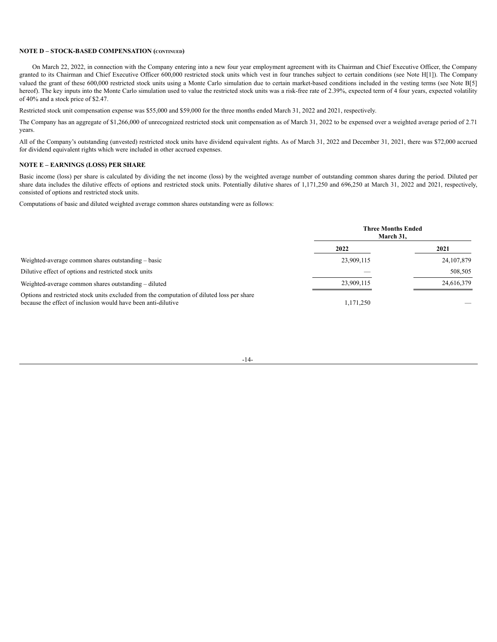#### **NOTE D – STOCK-BASED COMPENSATION (CONTINUED)**

On March 22, 2022, in connection with the Company entering into a new four year employment agreement with its Chairman and Chief Executive Officer, the Company granted to its Chairman and Chief Executive Officer 600,000 restricted stock units which vest in four tranches subject to certain conditions (see Note H[1]). The Company valued the grant of these 600,000 restricted stock units using a Monte Carlo simulation due to certain market-based conditions included in the vesting terms (see Note B[5] hereof). The key inputs into the Monte Carlo simulation used to value the restricted stock units was a risk-free rate of 2.39%, expected term of 4 four years, expected volatility of 40% and a stock price of \$2.47.

Restricted stock unit compensation expense was \$55,000 and \$59,000 for the three months ended March 31, 2022 and 2021, respectively.

The Company has an aggregate of \$1,266,000 of unrecognized restricted stock unit compensation as of March 31, 2022 to be expensed over a weighted average period of 2.71 years.

All of the Company's outstanding (unvested) restricted stock units have dividend equivalent rights. As of March 31, 2022 and December 31, 2021, there was \$72,000 accrued for dividend equivalent rights which were included in other accrued expenses.

## **NOTE E – EARNINGS (LOSS) PER SHARE**

Basic income (loss) per share is calculated by dividing the net income (loss) by the weighted average number of outstanding common shares during the period. Diluted per share data includes the dilutive effects of options and restricted stock units. Potentially dilutive shares of 1,171,250 and 696,250 at March 31, 2022 and 2021, respectively, consisted of options and restricted stock units.

Computations of basic and diluted weighted average common shares outstanding were as follows:

|                                                                                                                                                             | <b>Three Months Ended</b><br>March 31, |              |  |
|-------------------------------------------------------------------------------------------------------------------------------------------------------------|----------------------------------------|--------------|--|
|                                                                                                                                                             | 2022                                   | 2021         |  |
| Weighted-average common shares outstanding – basic                                                                                                          | 23,909,115                             | 24, 107, 879 |  |
| Dilutive effect of options and restricted stock units                                                                                                       |                                        | 508,505      |  |
| Weighted-average common shares outstanding – diluted                                                                                                        | 23.909.115                             | 24,616,379   |  |
| Options and restricted stock units excluded from the computation of diluted loss per share<br>because the effect of inclusion would have been anti-dilutive | 1,171,250                              |              |  |

#### -14-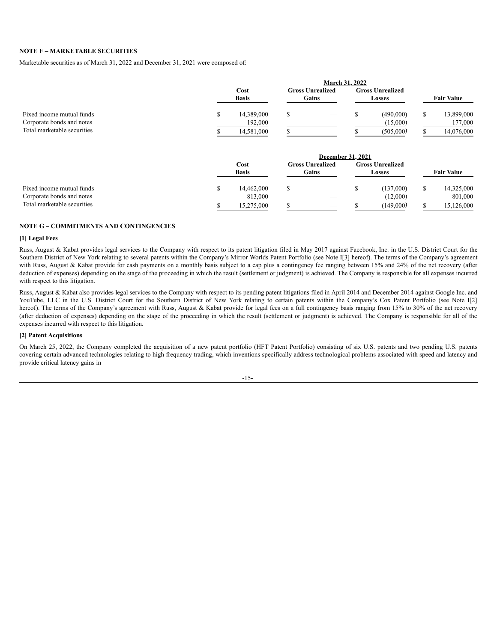## **NOTE F – MARKETABLE SECURITIES**

Marketable securities as of March 31, 2022 and December 31, 2021 were composed of:

|                                                        | March 31, 2022       |                       |                                  |       |                                          |                       |                   |                       |
|--------------------------------------------------------|----------------------|-----------------------|----------------------------------|-------|------------------------------------------|-----------------------|-------------------|-----------------------|
|                                                        | Cost<br><b>Basis</b> |                       | <b>Gross Unrealized</b><br>Gains |       | <b>Gross Unrealized</b><br><b>Losses</b> |                       |                   |                       |
|                                                        |                      |                       |                                  |       |                                          |                       | <b>Fair Value</b> |                       |
| Fixed income mutual funds<br>Corporate bonds and notes | S                    | 14,389,000<br>192,000 | \$                               |       |                                          | (490,000)<br>(15,000) | \$                | 13,899,000<br>177,000 |
| Total marketable securities                            |                      | 14,581,000            |                                  |       |                                          | (505,000)             |                   | 14,076,000            |
|                                                        | December 31, 2021    |                       |                                  |       |                                          |                       |                   |                       |
|                                                        | Cost                 |                       | <b>Gross Unrealized</b>          |       | <b>Gross Unrealized</b>                  |                       |                   |                       |
|                                                        |                      | <b>Basis</b>          |                                  | Gains |                                          | <b>Losses</b>         |                   | <b>Fair Value</b>     |
| Fixed income mutual funds                              | S                    | 14,462,000            | \$                               |       |                                          | (137,000)             | \$                | 14,325,000            |
| Corporate bonds and notes                              |                      | 813,000               |                                  |       |                                          | (12,000)              |                   | 801,000               |
| Total marketable securities                            |                      | 15,275,000            |                                  |       |                                          | (149,000)             |                   | 15,126,000            |

## **NOTE G – COMMITMENTS AND CONTINGENCIES**

#### **[1] Legal Fees**

Russ, August & Kabat provides legal services to the Company with respect to its patent litigation filed in May 2017 against Facebook, Inc. in the U.S. District Court for the Southern District of New York relating to several patents within the Company's Mirror Worlds Patent Portfolio (see Note I[3] hereof). The terms of the Company's agreement with Russ, August & Kabat provide for cash payments on a monthly basis subject to a cap plus a contingency fee ranging between 15% and 24% of the net recovery (after deduction of expenses) depending on the stage of the proceeding in which the result (settlement or judgment) is achieved. The Company is responsible for all expenses incurred with respect to this litigation.

Russ, August & Kabat also provides legal services to the Company with respect to its pending patent litigations filed in April 2014 and December 2014 against Google Inc. and YouTube, LLC in the U.S. District Court for the Southern District of New York relating to certain patents within the Company's Cox Patent Portfolio (see Note I[2] hereof). The terms of the Company's agreement with Russ, August & Kabat provide for legal fees on a full contingency basis ranging from 15% to 30% of the net recovery (after deduction of expenses) depending on the stage of the proceeding in which the result (settlement or judgment) is achieved. The Company is responsible for all of the expenses incurred with respect to this litigation.

## **[2] Patent Acquisitions**

On March 25, 2022, the Company completed the acquisition of a new patent portfolio (HFT Patent Portfolio) consisting of six U.S. patents and two pending U.S. patents covering certain advanced technologies relating to high frequency trading, which inventions specifically address technological problems associated with speed and latency and provide critical latency gains in

-15-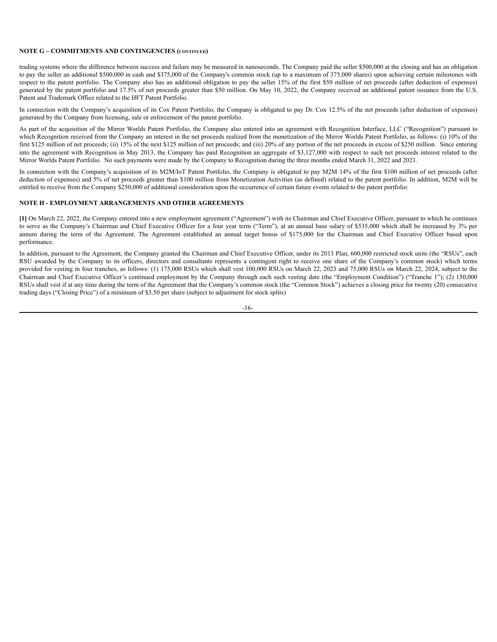### **NOTE G – COMMITMENTS AND CONTINGENCIES (CONTINUED)**

trading systems where the difference between success and failure may be measured in nanoseconds. The Company paid the seller \$500,000 at the closing and has an obligation to pay the seller an additional \$500,000 in cash and \$375,000 of the Company's common stock (up to a maximum of 375,000 shares) upon achieving certain milestones with respect to the patent portfolio. The Company also has an additional obligation to pay the seller 15% of the first \$50 million of net proceeds (after deduction of expenses) generated by the patent portfolio and 17.5% of net proceeds greater than \$50 million. On May 10, 2022, the Company received an additional patent issuance from the U.S. Patent and Trademark Office related to the HFT Patent Portfolio.

In connection with the Company's acquisition of its Cox Patent Portfolio, the Company is obligated to pay Dr. Cox 12.5% of the net proceeds (after deduction of expenses) generated by the Company from licensing, sale or enforcement of the patent portfolio.

As part of the acquisition of the Mirror Worlds Patent Portfolio, the Company also entered into an agreement with Recognition Interface, LLC ("Recognition") pursuant to which Recognition received from the Company an interest in the net proceeds realized from the monetization of the Mirror Worlds Patent Portfolio, as follows: (i) 10% of the first \$125 million of net proceeds; (ii) 15% of the next \$125 million of net proceeds; and (iii) 20% of any portion of the net proceeds in excess of \$250 million. Since entering into the agreement with Recognition in May 2013, the Company has paid Recognition an aggregate of \$3,127,000 with respect to such net proceeds interest related to the Mirror Worlds Patent Portfolio. No such payments were made by the Company to Recognition during the three months ended March 31, 2022 and 2021.

In connection with the Company's acquisition of its M2M/IoT Patent Portfolio, the Company is obligated to pay M2M 14% of the first \$100 million of net proceeds (after deduction of expenses) and 5% of net proceeds greater than \$100 million from Monetization Activities (as defined) related to the patent portfolio. In addition, M2M will be entitled to receive from the Company \$250,000 of additional consideration upon the occurrence of certain future events related to the patent portfolio.

## **NOTE H - EMPLOYMENT ARRANGEMENTS AND OTHER AGREEMENTS**

**[1]** On March 22, 2022, the Company entered into a new employment agreement ("Agreement") with its Chairman and Chief Executive Officer, pursuant to which he continues to serve as the Company's Chairman and Chief Executive Officer for a four year term ("Term"), at an annual base salary of \$535,000 which shall be increased by 3% per annum during the term of the Agreement. The Agreement established an annual target bonus of \$175,000 for the Chairman and Chief Executive Officer based upon performance.

In addition, pursuant to the Agreement, the Company granted the Chairman and Chief Executive Officer, under its 2013 Plan, 600,000 restricted stock units (the "RSUs", each RSU awarded by the Company to its officers, directors and consultants represents a contingent right to receive one share of the Company's common stock) which terms provided for vesting in four tranches, as follows: (1) 175,000 RSUs which shall vest 100,000 RSUs on March 22, 2023 and 75,000 RSUs on March 22, 2024, subject to the Chairman and Chief Executive Officer's continued employment by the Company through each such vesting date (the "Employment Condition") ("Tranche 1"); (2) 150,000 RSUs shall vest if at any time during the term of the Agreement that the Company's common stock (the "Common Stock") achieves a closing price for twenty (20) consecutive trading days ("Closing Price") of a minimum of \$3.50 per share (subject to adjustment for stock splits)

-16-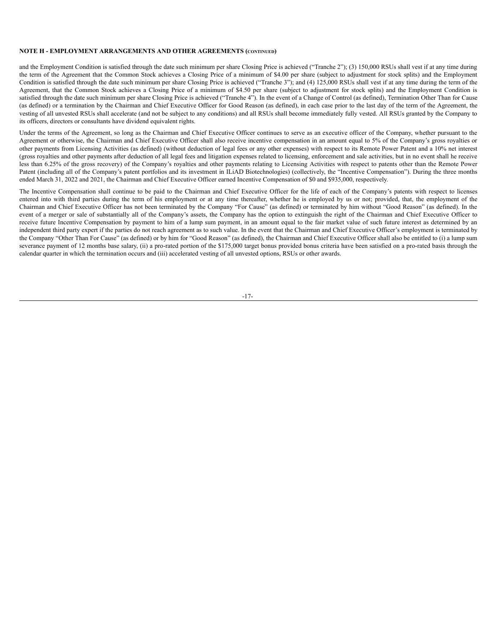### **NOTE H - EMPLOYMENT ARRANGEMENTS AND OTHER AGREEMENTS (CONTINUED)**

and the Employment Condition is satisfied through the date such minimum per share Closing Price is achieved ("Tranche 2"); (3) 150,000 RSUs shall vest if at any time during the term of the Agreement that the Common Stock achieves a Closing Price of a minimum of \$4.00 per share (subject to adjustment for stock splits) and the Employment Condition is satisfied through the date such minimum per share Closing Price is achieved ("Tranche 3"); and (4) 125,000 RSUs shall vest if at any time during the term of the Agreement, that the Common Stock achieves a Closing Price of a minimum of \$4.50 per share (subject to adjustment for stock splits) and the Employment Condition is satisfied through the date such minimum per share Closing Price is achieved ("Tranche 4"). In the event of a Change of Control (as defined), Termination Other Than for Cause (as defined) or a termination by the Chairman and Chief Executive Officer for Good Reason (as defined), in each case prior to the last day of the term of the Agreement, the vesting of all unvested RSUs shall accelerate (and not be subject to any conditions) and all RSUs shall become immediately fully vested. All RSUs granted by the Company to its officers, directors or consultants have dividend equivalent rights.

Under the terms of the Agreement, so long as the Chairman and Chief Executive Officer continues to serve as an executive officer of the Company, whether pursuant to the Agreement or otherwise, the Chairman and Chief Executive Officer shall also receive incentive compensation in an amount equal to 5% of the Company's gross royalties or other payments from Licensing Activities (as defined) (without deduction of legal fees or any other expenses) with respect to its Remote Power Patent and a 10% net interest (gross royalties and other payments after deduction of all legal fees and litigation expenses related to licensing, enforcement and sale activities, but in no event shall he receive less than 6.25% of the gross recovery) of the Company's royalties and other payments relating to Licensing Activities with respect to patents other than the Remote Power Patent (including all of the Company's patent portfolios and its investment in ILiAD Biotechnologies) (collectively, the "Incentive Compensation"). During the three months ended March 31, 2022 and 2021, the Chairman and Chief Executive Officer earned Incentive Compensation of \$0 and \$935,000, respectively.

The Incentive Compensation shall continue to be paid to the Chairman and Chief Executive Officer for the life of each of the Company's patents with respect to licenses entered into with third parties during the term of his employment or at any time thereafter, whether he is employed by us or not; provided, that, the employment of the Chairman and Chief Executive Officer has not been terminated by the Company "For Cause" (as defined) or terminated by him without "Good Reason" (as defined). In the event of a merger or sale of substantially all of the Company's assets, the Company has the option to extinguish the right of the Chairman and Chief Executive Officer to receive future Incentive Compensation by payment to him of a lump sum payment, in an amount equal to the fair market value of such future interest as determined by an independent third party expert if the parties do not reach agreement as to such value. In the event that the Chairman and Chief Executive Officer's employment is terminated by the Company "Other Than For Cause" (as defined) or by him for "Good Reason" (as defined), the Chairman and Chief Executive Officer shall also be entitled to (i) a lump sum severance payment of 12 months base salary, (ii) a pro-rated portion of the \$175,000 target bonus provided bonus criteria have been satisfied on a pro-rated basis through the calendar quarter in which the termination occurs and (iii) accelerated vesting of all unvested options, RSUs or other awards.

-17-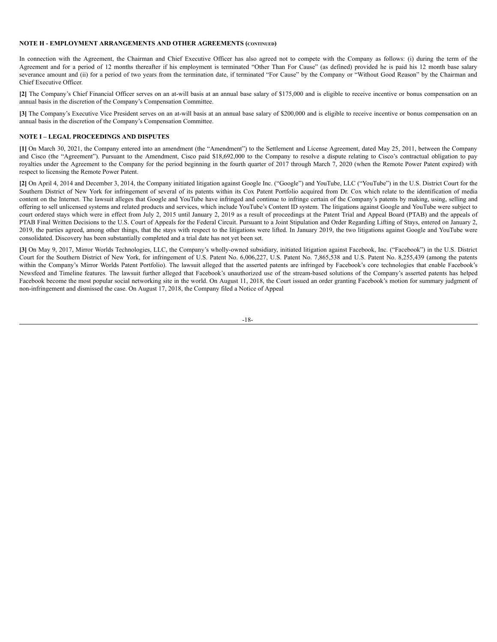## **NOTE H - EMPLOYMENT ARRANGEMENTS AND OTHER AGREEMENTS (CONTINUED)**

In connection with the Agreement, the Chairman and Chief Executive Officer has also agreed not to compete with the Company as follows: (i) during the term of the Agreement and for a period of 12 months thereafter if his employment is terminated "Other Than For Cause" (as defined) provided he is paid his 12 month base salary severance amount and (ii) for a period of two years from the termination date, if terminated "For Cause" by the Company or "Without Good Reason" by the Chairman and Chief Executive Officer.

**[2]** The Company's Chief Financial Officer serves on an at-will basis at an annual base salary of \$175,000 and is eligible to receive incentive or bonus compensation on an annual basis in the discretion of the Company's Compensation Committee.

**[3]** The Company's Executive Vice President serves on an at-will basis at an annual base salary of \$200,000 and is eligible to receive incentive or bonus compensation on an annual basis in the discretion of the Company's Compensation Committee.

### **NOTE I – LEGAL PROCEEDINGS AND DISPUTES**

**[1]** On March 30, 2021, the Company entered into an amendment (the "Amendment") to the Settlement and License Agreement, dated May 25, 2011, between the Company and Cisco (the "Agreement"). Pursuant to the Amendment, Cisco paid \$18,692,000 to the Company to resolve a dispute relating to Cisco's contractual obligation to pay royalties under the Agreement to the Company for the period beginning in the fourth quarter of 2017 through March 7, 2020 (when the Remote Power Patent expired) with respect to licensing the Remote Power Patent.

**[2]** On April 4, 2014 and December 3, 2014, the Company initiated litigation against Google Inc. ("Google") and YouTube, LLC ("YouTube") in the U.S. District Court for the Southern District of New York for infringement of several of its patents within its Cox Patent Portfolio acquired from Dr. Cox which relate to the identification of media content on the Internet. The lawsuit alleges that Google and YouTube have infringed and continue to infringe certain of the Company's patents by making, using, selling and offering to sell unlicensed systems and related products and services, which include YouTube's Content ID system. The litigations against Google and YouTube were subject to court ordered stays which were in effect from July 2, 2015 until January 2, 2019 as a result of proceedings at the Patent Trial and Appeal Board (PTAB) and the appeals of PTAB Final Written Decisions to the U.S. Court of Appeals for the Federal Circuit. Pursuant to a Joint Stipulation and Order Regarding Lifting of Stays, entered on January 2, 2019, the parties agreed, among other things, that the stays with respect to the litigations were lifted. In January 2019, the two litigations against Google and YouTube were consolidated. Discovery has been substantially completed and a trial date has not yet been set.

**[3]** On May 9, 2017, Mirror Worlds Technologies, LLC, the Company's wholly-owned subsidiary, initiated litigation against Facebook, Inc. ("Facebook") in the U.S. District Court for the Southern District of New York, for infringement of U.S. Patent No. 6,006,227, U.S. Patent No. 7,865,538 and U.S. Patent No. 8,255,439 (among the patents within the Company's Mirror Worlds Patent Portfolio). The lawsuit alleged that the asserted patents are infringed by Facebook's core technologies that enable Facebook's Newsfeed and Timeline features. The lawsuit further alleged that Facebook's unauthorized use of the stream-based solutions of the Company's asserted patents has helped Facebook become the most popular social networking site in the world. On August 11, 2018, the Court issued an order granting Facebook's motion for summary judgment of non-infringement and dismissed the case. On August 17, 2018, the Company filed a Notice of Appeal

-18-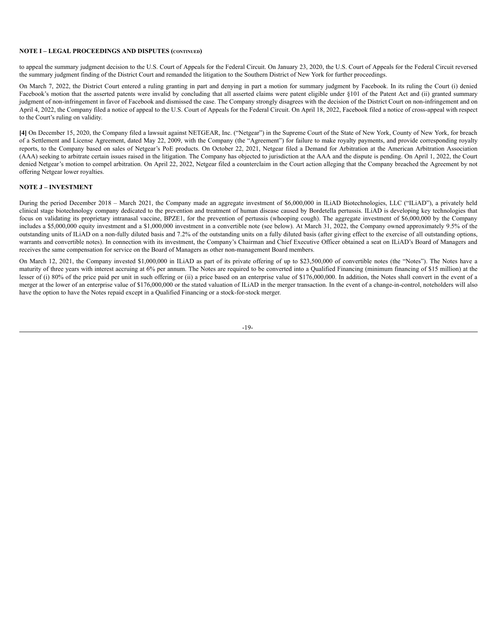### **NOTE I – LEGAL PROCEEDINGS AND DISPUTES (CONTINUED)**

to appeal the summary judgment decision to the U.S. Court of Appeals for the Federal Circuit. On January 23, 2020, the U.S. Court of Appeals for the Federal Circuit reversed the summary judgment finding of the District Court and remanded the litigation to the Southern District of New York for further proceedings.

On March 7, 2022, the District Court entered a ruling granting in part and denying in part a motion for summary judgment by Facebook. In its ruling the Court (i) denied Facebook's motion that the asserted patents were invalid by concluding that all asserted claims were patent eligible under §101 of the Patent Act and (ii) granted summary judgment of non-infringement in favor of Facebook and dismissed the case. The Company strongly disagrees with the decision of the District Court on non-infringement and on April 4, 2022, the Company filed a notice of appeal to the U.S. Court of Appeals for the Federal Circuit. On April 18, 2022, Facebook filed a notice of cross-appeal with respect to the Court's ruling on validity.

**[4]** On December 15, 2020, the Company filed a lawsuit against NETGEAR, Inc. ("Netgear") in the Supreme Court of the State of New York, County of New York, for breach of a Settlement and License Agreement, dated May 22, 2009, with the Company (the "Agreement") for failure to make royalty payments, and provide corresponding royalty reports, to the Company based on sales of Netgear's PoE products. On October 22, 2021, Netgear filed a Demand for Arbitration at the American Arbitration Association (AAA) seeking to arbitrate certain issues raised in the litigation. The Company has objected to jurisdiction at the AAA and the dispute is pending. On April 1, 2022, the Court denied Netgear's motion to compel arbitration. On April 22, 2022, Netgear filed a counterclaim in the Court action alleging that the Company breached the Agreement by not offering Netgear lower royalties.

## **NOTE J – INVESTMENT**

During the period December 2018 – March 2021, the Company made an aggregate investment of \$6,000,000 in ILiAD Biotechnologies, LLC ("ILiAD"), a privately held clinical stage biotechnology company dedicated to the prevention and treatment of human disease caused by Bordetella pertussis. ILiAD is developing key technologies that focus on validating its proprietary intranasal vaccine, BPZE1, for the prevention of pertussis (whooping cough). The aggregate investment of \$6,000,000 by the Company includes a \$5,000,000 equity investment and a \$1,000,000 investment in a convertible note (see below). At March 31, 2022, the Company owned approximately 9.5% of the outstanding units of ILiAD on a non-fully diluted basis and 7.2% of the outstanding units on a fully diluted basis (after giving effect to the exercise of all outstanding options, warrants and convertible notes). In connection with its investment, the Company's Chairman and Chief Executive Officer obtained a seat on ILiAD's Board of Managers and receives the same compensation for service on the Board of Managers as other non-management Board members.

On March 12, 2021, the Company invested \$1,000,000 in ILiAD as part of its private offering of up to \$23,500,000 of convertible notes (the "Notes"). The Notes have a maturity of three years with interest accruing at 6% per annum. The Notes are required to be converted into a Qualified Financing (minimum financing of \$15 million) at the lesser of (i) 80% of the price paid per unit in such offering or (ii) a price based on an enterprise value of \$176,000,000. In addition, the Notes shall convert in the event of a merger at the lower of an enterprise value of \$176,000,000 or the stated valuation of ILiAD in the merger transaction. In the event of a change-in-control, noteholders will also have the option to have the Notes repaid except in a Qualified Financing or a stock-for-stock merger.

-19-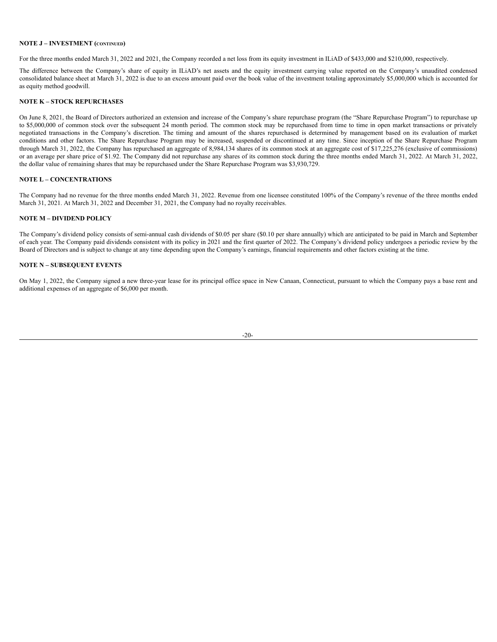### **NOTE J – INVESTMENT (CONTINUED)**

For the three months ended March 31, 2022 and 2021, the Company recorded a net loss from its equity investment in ILiAD of \$433,000 and \$210,000, respectively.

The difference between the Company's share of equity in ILiAD's net assets and the equity investment carrying value reported on the Company's unaudited condensed consolidated balance sheet at March 31, 2022 is due to an excess amount paid over the book value of the investment totaling approximately \$5,000,000 which is accounted for as equity method goodwill.

## **NOTE K – STOCK REPURCHASES**

On June 8, 2021, the Board of Directors authorized an extension and increase of the Company's share repurchase program (the "Share Repurchase Program") to repurchase up to \$5,000,000 of common stock over the subsequent 24 month period. The common stock may be repurchased from time to time in open market transactions or privately negotiated transactions in the Company's discretion. The timing and amount of the shares repurchased is determined by management based on its evaluation of market conditions and other factors. The Share Repurchase Program may be increased, suspended or discontinued at any time. Since inception of the Share Repurchase Program through March 31, 2022, the Company has repurchased an aggregate of 8,984,134 shares of its common stock at an aggregate cost of \$17,225,276 (exclusive of commissions) or an average per share price of \$1.92. The Company did not repurchase any shares of its common stock during the three months ended March 31, 2022. At March 31, 2022, the dollar value of remaining shares that may be repurchased under the Share Repurchase Program was \$3,930,729.

### **NOTE L – CONCENTRATIONS**

The Company had no revenue for the three months ended March 31, 2022. Revenue from one licensee constituted 100% of the Company's revenue of the three months ended March 31, 2021. At March 31, 2022 and December 31, 2021, the Company had no royalty receivables.

## **NOTE M – DIVIDEND POLICY**

The Company's dividend policy consists of semi-annual cash dividends of \$0.05 per share (\$0.10 per share annually) which are anticipated to be paid in March and September of each year. The Company paid dividends consistent with its policy in 2021 and the first quarter of 2022. The Company's dividend policy undergoes a periodic review by the Board of Directors and is subject to change at any time depending upon the Company's earnings, financial requirements and other factors existing at the time.

#### **NOTE N – SUBSEQUENT EVENTS**

On May 1, 2022, the Company signed a new three-year lease for its principal office space in New Canaan, Connecticut, pursuant to which the Company pays a base rent and additional expenses of an aggregate of \$6,000 per month.

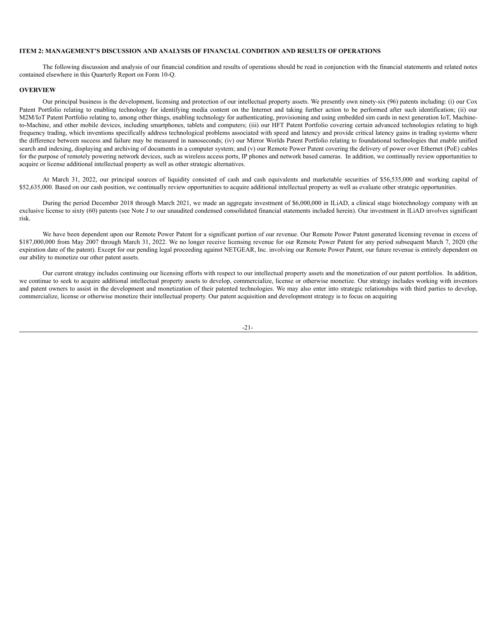### <span id="page-20-0"></span>**ITEM 2: MANAGEMENT'S DISCUSSION AND ANALYSIS OF FINANCIAL CONDITION AND RESULTS OF OPERATIONS**

The following discussion and analysis of our financial condition and results of operations should be read in conjunction with the financial statements and related notes contained elsewhere in this Quarterly Report on Form 10-Q.

#### **OVERVIEW**

Our principal business is the development, licensing and protection of our intellectual property assets. We presently own ninety-six (96) patents including: (i) our Cox Patent Portfolio relating to enabling technology for identifying media content on the Internet and taking further action to be performed after such identification; (ii) our M2M/IoT Patent Portfolio relating to, among other things, enabling technology for authenticating, provisioning and using embedded sim cards in next generation IoT, Machineto-Machine, and other mobile devices, including smartphones, tablets and computers; (iii) our HFT Patent Portfolio covering certain advanced technologies relating to high frequency trading, which inventions specifically address technological problems associated with speed and latency and provide critical latency gains in trading systems where the difference between success and failure may be measured in nanoseconds; (iv) our Mirror Worlds Patent Portfolio relating to foundational technologies that enable unified search and indexing, displaying and archiving of documents in a computer system; and (v) our Remote Power Patent covering the delivery of power over Ethernet (PoE) cables for the purpose of remotely powering network devices, such as wireless access ports, IP phones and network based cameras. In addition, we continually review opportunities to acquire or license additional intellectual property as well as other strategic alternatives.

At March 31, 2022, our principal sources of liquidity consisted of cash and cash equivalents and marketable securities of \$56,535,000 and working capital of \$52,635,000. Based on our cash position, we continually review opportunities to acquire additional intellectual property as well as evaluate other strategic opportunities.

During the period December 2018 through March 2021, we made an aggregate investment of \$6,000,000 in ILiAD, a clinical stage biotechnology company with an exclusive license to sixty (60) patents (see Note J to our unaudited condensed consolidated financial statements included herein). Our investment in ILiAD involves significant risk.

We have been dependent upon our Remote Power Patent for a significant portion of our revenue. Our Remote Power Patent generated licensing revenue in excess of \$187,000,000 from May 2007 through March 31, 2022. We no longer receive licensing revenue for our Remote Power Patent for any period subsequent March 7, 2020 (the expiration date of the patent). Except for our pending legal proceeding against NETGEAR, Inc. involving our Remote Power Patent, our future revenue is entirely dependent on our ability to monetize our other patent assets.

Our current strategy includes continuing our licensing efforts with respect to our intellectual property assets and the monetization of our patent portfolios. In addition, we continue to seek to acquire additional intellectual property assets to develop, commercialize, license or otherwise monetize. Our strategy includes working with inventors and patent owners to assist in the development and monetization of their patented technologies. We may also enter into strategic relationships with third parties to develop, commercialize, license or otherwise monetize their intellectual property. Our patent acquisition and development strategy is to focus on acquiring

#### -21-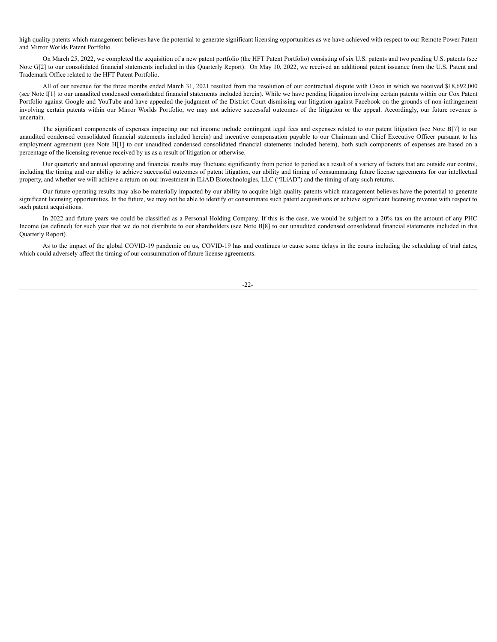high quality patents which management believes have the potential to generate significant licensing opportunities as we have achieved with respect to our Remote Power Patent and Mirror Worlds Patent Portfolio.

On March 25, 2022, we completed the acquisition of a new patent portfolio (the HFT Patent Portfolio) consisting of six U.S. patents and two pending U.S. patents (see Note G[2] to our consolidated financial statements included in this Quarterly Report). On May 10, 2022, we received an additional patent issuance from the U.S. Patent and Trademark Office related to the HFT Patent Portfolio.

All of our revenue for the three months ended March 31, 2021 resulted from the resolution of our contractual dispute with Cisco in which we received \$18,692,000 (see Note I[1] to our unaudited condensed consolidated financial statements included herein). While we have pending litigation involving certain patents within our Cox Patent Portfolio against Google and YouTube and have appealed the judgment of the District Court dismissing our litigation against Facebook on the grounds of non-infringement involving certain patents within our Mirror Worlds Portfolio, we may not achieve successful outcomes of the litigation or the appeal. Accordingly, our future revenue is uncertain.

The significant components of expenses impacting our net income include contingent legal fees and expenses related to our patent litigation (see Note B[7] to our unaudited condensed consolidated financial statements included herein) and incentive compensation payable to our Chairman and Chief Executive Officer pursuant to his employment agreement (see Note H[1] to our unaudited condensed consolidated financial statements included herein), both such components of expenses are based on a percentage of the licensing revenue received by us as a result of litigation or otherwise.

Our quarterly and annual operating and financial results may fluctuate significantly from period to period as a result of a variety of factors that are outside our control, including the timing and our ability to achieve successful outcomes of patent litigation, our ability and timing of consummating future license agreements for our intellectual property, and whether we will achieve a return on our investment in ILiAD Biotechnologies, LLC ("ILiAD") and the timing of any such returns.

Our future operating results may also be materially impacted by our ability to acquire high quality patents which management believes have the potential to generate significant licensing opportunities. In the future, we may not be able to identify or consummate such patent acquisitions or achieve significant licensing revenue with respect to such patent acquisitions.

In 2022 and future years we could be classified as a Personal Holding Company. If this is the case, we would be subject to a 20% tax on the amount of any PHC Income (as defined) for such year that we do not distribute to our shareholders (see Note B[8] to our unaudited condensed consolidated financial statements included in this Quarterly Report).

As to the impact of the global COVID-19 pandemic on us, COVID-19 has and continues to cause some delays in the courts including the scheduling of trial dates, which could adversely affect the timing of our consummation of future license agreements.

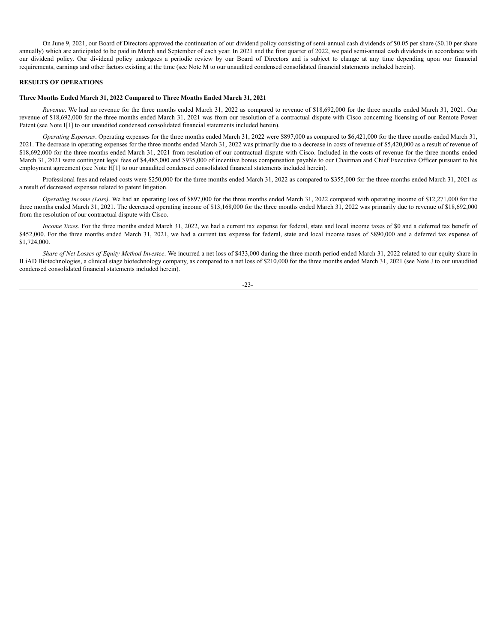On June 9, 2021, our Board of Directors approved the continuation of our dividend policy consisting of semi-annual cash dividends of \$0.05 per share (\$0.10 per share annually) which are anticipated to be paid in March and September of each year. In 2021 and the first quarter of 2022, we paid semi-annual cash dividends in accordance with our dividend policy. Our dividend policy undergoes a periodic review by our Board of Directors and is subject to change at any time depending upon our financial requirements, earnings and other factors existing at the time (see Note M to our unaudited condensed consolidated financial statements included herein).

## **RESULTS OF OPERATIONS**

#### **Three Months Ended March 31, 2022 Compared to Three Months Ended March 31, 2021**

*Revenue*. We had no revenue for the three months ended March 31, 2022 as compared to revenue of \$18,692,000 for the three months ended March 31, 2021. Our revenue of \$18,692,000 for the three months ended March 31, 2021 was from our resolution of a contractual dispute with Cisco concerning licensing of our Remote Power Patent (see Note I[1] to our unaudited condensed consolidated financial statements included herein).

*Operating Expenses*. Operating expenses for the three months ended March 31, 2022 were \$897,000 as compared to \$6,421,000 for the three months ended March 31, 2021. The decrease in operating expenses for the three months ended March 31, 2022 was primarily due to a decrease in costs of revenue of \$5,420,000 as a result of revenue of \$18,692,000 for the three months ended March 31, 2021 from resolution of our contractual dispute with Cisco. Included in the costs of revenue for the three months ended March 31, 2021 were contingent legal fees of \$4,485,000 and \$935,000 of incentive bonus compensation payable to our Chairman and Chief Executive Officer pursuant to his employment agreement (see Note H[1] to our unaudited condensed consolidated financial statements included herein).

Professional fees and related costs were \$250,000 for the three months ended March 31, 2022 as compared to \$355,000 for the three months ended March 31, 2021 as a result of decreased expenses related to patent litigation.

*Operating Income (Loss)*. We had an operating loss of \$897,000 for the three months ended March 31, 2022 compared with operating income of \$12,271,000 for the three months ended March 31, 2021. The decreased operating income of \$13,168,000 for the three months ended March 31, 2022 was primarily due to revenue of \$18,692,000 from the resolution of our contractual dispute with Cisco.

*Income Taxes*. For the three months ended March 31, 2022, we had a current tax expense for federal, state and local income taxes of \$0 and a deferred tax benefit of \$452,000. For the three months ended March 31, 2021, we had a current tax expense for federal, state and local income taxes of \$890,000 and a deferred tax expense of \$1,724,000.

*Share of Net Losses of Equity Method Investee*. We incurred a net loss of \$433,000 during the three month period ended March 31, 2022 related to our equity share in ILiAD Biotechnologies, a clinical stage biotechnology company, as compared to a net loss of \$210,000 for the three months ended March 31, 2021 (see Note J to our unaudited condensed consolidated financial statements included herein).

-23-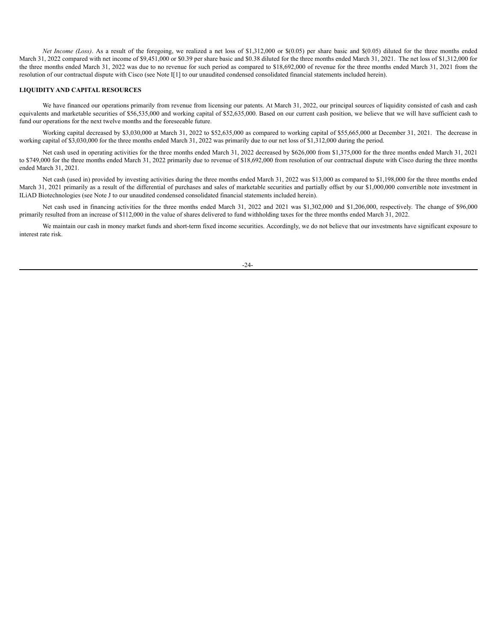*Net Income (Loss)*. As a result of the foregoing, we realized a net loss of \$1,312,000 or \$(0.05) per share basic and \$(0.05) diluted for the three months ended March 31, 2022 compared with net income of \$9,451,000 or \$0.39 per share basic and \$0.38 diluted for the three months ended March 31, 2021. The net loss of \$1,312,000 for the three months ended March 31, 2022 was due to no revenue for such period as compared to \$18,692,000 of revenue for the three months ended March 31, 2021 from the resolution of our contractual dispute with Cisco (see Note I[1] to our unaudited condensed consolidated financial statements included herein).

## **LIQUIDITY AND CAPITAL RESOURCES**

We have financed our operations primarily from revenue from licensing our patents. At March 31, 2022, our principal sources of liquidity consisted of cash and cash equivalents and marketable securities of \$56,535,000 and working capital of \$52,635,000. Based on our current cash position, we believe that we will have sufficient cash to fund our operations for the next twelve months and the foreseeable future.

Working capital decreased by \$3,030,000 at March 31, 2022 to \$52,635,000 as compared to working capital of \$55,665,000 at December 31, 2021. The decrease in working capital of \$3,030,000 for the three months ended March 31, 2022 was primarily due to our net loss of \$1,312,000 during the period.

Net cash used in operating activities for the three months ended March 31, 2022 decreased by \$626,000 from \$1,375,000 for the three months ended March 31, 2021 to \$749,000 for the three months ended March 31, 2022 primarily due to revenue of \$18,692,000 from resolution of our contractual dispute with Cisco during the three months ended March 31, 2021.

Net cash (used in) provided by investing activities during the three months ended March 31, 2022 was \$13,000 as compared to \$1,198,000 for the three months ended March 31, 2021 primarily as a result of the differential of purchases and sales of marketable securities and partially offset by our \$1,000,000 convertible note investment in ILiAD Biotechnologies (see Note J to our unaudited condensed consolidated financial statements included herein).

Net cash used in financing activities for the three months ended March 31, 2022 and 2021 was \$1,302,000 and \$1,206,000, respectively. The change of \$96,000 primarily resulted from an increase of \$112,000 in the value of shares delivered to fund withholding taxes for the three months ended March 31, 2022.

We maintain our cash in money market funds and short-term fixed income securities. Accordingly, we do not believe that our investments have significant exposure to interest rate risk.

-24-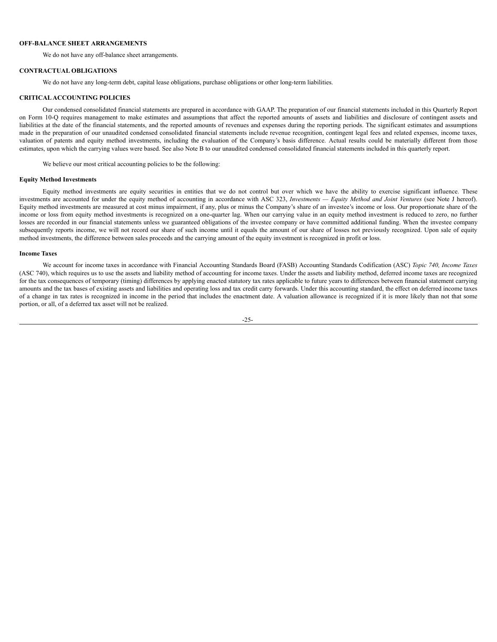## **OFF-BALANCE SHEET ARRANGEMENTS**

We do not have any off-balance sheet arrangements.

## **CONTRACTUAL OBLIGATIONS**

We do not have any long-term debt, capital lease obligations, purchase obligations or other long-term liabilities.

#### **CRITICALACCOUNTING POLICIES**

Our condensed consolidated financial statements are prepared in accordance with GAAP. The preparation of our financial statements included in this Quarterly Report on Form 10-Q requires management to make estimates and assumptions that affect the reported amounts of assets and liabilities and disclosure of contingent assets and liabilities at the date of the financial statements, and the reported amounts of revenues and expenses during the reporting periods. The significant estimates and assumptions made in the preparation of our unaudited condensed consolidated financial statements include revenue recognition, contingent legal fees and related expenses, income taxes, valuation of patents and equity method investments, including the evaluation of the Company's basis difference. Actual results could be materially different from those estimates, upon which the carrying values were based. See also Note B to our unaudited condensed consolidated financial statements included in this quarterly report.

We believe our most critical accounting policies to be the following:

#### **Equity Method Investments**

Equity method investments are equity securities in entities that we do not control but over which we have the ability to exercise significant influence. These investments are accounted for under the equity method of accounting in accordance with ASC 323, *Investments — Equity Method and Joint Ventures* (see Note J hereof). Equity method investments are measured at cost minus impairment, if any, plus or minus the Company's share of an investee's income or loss. Our proportionate share of the income or loss from equity method investments is recognized on a one-quarter lag. When our carrying value in an equity method investment is reduced to zero, no further losses are recorded in our financial statements unless we guaranteed obligations of the investee company or have committed additional funding. When the investee company subsequently reports income, we will not record our share of such income until it equals the amount of our share of losses not previously recognized. Upon sale of equity method investments, the difference between sales proceeds and the carrying amount of the equity investment is recognized in profit or loss.

### **Income Taxes**

We account for income taxes in accordance with Financial Accounting Standards Board (FASB) Accounting Standards Codification (ASC) *Topic 740, Income Taxes* (ASC 740), which requires us to use the assets and liability method of accounting for income taxes. Under the assets and liability method, deferred income taxes are recognized for the tax consequences of temporary (timing) differences by applying enacted statutory tax rates applicable to future years to differences between financial statement carrying amounts and the tax bases of existing assets and liabilities and operating loss and tax credit carry forwards. Under this accounting standard, the effect on deferred income taxes of a change in tax rates is recognized in income in the period that includes the enactment date. A valuation allowance is recognized if it is more likely than not that some portion, or all, of a deferred tax asset will not be realized.

-25-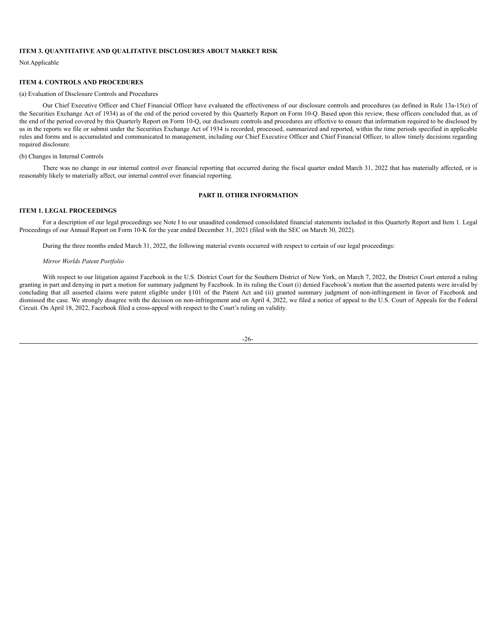### <span id="page-25-0"></span>**ITEM 3. QUANTITATIVE AND QUALITATIVE DISCLOSURES ABOUT MARKET RISK**

Not Applicable

## <span id="page-25-1"></span>**ITEM 4. CONTROLS AND PROCEDURES**

#### (a) Evaluation of Disclosure Controls and Procedures

Our Chief Executive Officer and Chief Financial Officer have evaluated the effectiveness of our disclosure controls and procedures (as defined in Rule 13a-15(e) of the Securities Exchange Act of 1934) as of the end of the period covered by this Quarterly Report on Form 10-Q. Based upon this review, these officers concluded that, as of the end of the period covered by this Quarterly Report on Form 10-Q, our disclosure controls and procedures are effective to ensure that information required to be disclosed by us in the reports we file or submit under the Securities Exchange Act of 1934 is recorded, processed, summarized and reported, within the time periods specified in applicable rules and forms and is accumulated and communicated to management, including our Chief Executive Officer and Chief Financial Officer, to allow timely decisions regarding required disclosure.

#### (b) Changes in Internal Controls

There was no change in our internal control over financial reporting that occurred during the fiscal quarter ended March 31, 2022 that has materially affected, or is reasonably likely to materially affect, our internal control over financial reporting.

### **PART II. OTHER INFORMATION**

## <span id="page-25-2"></span>**ITEM 1. LEGAL PROCEEDINGS**

For a description of our legal proceedings see Note I to our unaudited condensed consolidated financial statements included in this Quarterly Report and Item 1. Legal Proceedings of our Annual Report on Form 10-K for the year ended December 31, 2021 (filed with the SEC on March 30, 2022).

During the three months ended March 31, 2022, the following material events occurred with respect to certain of our legal proceedings:

#### *Mirror Worlds Patent Portfolio*

With respect to our litigation against Facebook in the U.S. District Court for the Southern District of New York, on March 7, 2022, the District Court entered a ruling granting in part and denying in part a motion for summary judgment by Facebook. In its ruling the Court (i) denied Facebook's motion that the asserted patents were invalid by concluding that all asserted claims were patent eligible under §101 of the Patent Act and (ii) granted summary judgment of non-infringement in favor of Facebook and dismissed the case. We strongly disagree with the decision on non-infringement and on April 4, 2022, we filed a notice of appeal to the U.S. Court of Appeals for the Federal Circuit. On April 18, 2022, Facebook filed a cross-appeal with respect to the Court's ruling on validity.

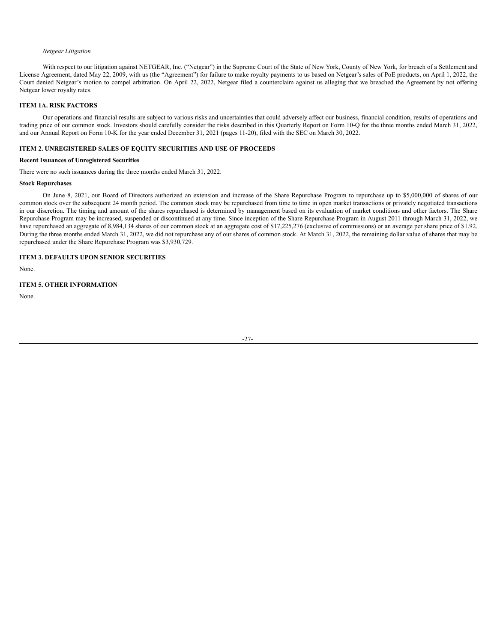### *Netgear Litigation*

With respect to our litigation against NETGEAR, Inc. ("Netgear") in the Supreme Court of the State of New York, County of New York, for breach of a Settlement and License Agreement, dated May 22, 2009, with us (the "Agreement") for failure to make royalty payments to us based on Netgear's sales of PoE products, on April 1, 2022, the Court denied Netgear's motion to compel arbitration. On April 22, 2022, Netgear filed a counterclaim against us alleging that we breached the Agreement by not offering Netgear lower royalty rates.

#### <span id="page-26-0"></span>**ITEM 1A. RISK FACTORS**

Our operations and financial results are subject to various risks and uncertainties that could adversely affect our business, financial condition, results of operations and trading price of our common stock. Investors should carefully consider the risks described in this Quarterly Report on Form 10-Q for the three months ended March 31, 2022, and our Annual Report on Form 10-K for the year ended December 31, 2021 (pages 11-20), filed with the SEC on March 30, 2022.

## <span id="page-26-1"></span>**ITEM 2. UNREGISTERED SALES OF EQUITY SECURITIES AND USE OF PROCEEDS**

## **Recent Issuances of Unregistered Securities**

There were no such issuances during the three months ended March 31, 2022.

#### **Stock Repurchases**

On June 8, 2021, our Board of Directors authorized an extension and increase of the Share Repurchase Program to repurchase up to \$5,000,000 of shares of our common stock over the subsequent 24 month period. The common stock may be repurchased from time to time in open market transactions or privately negotiated transactions in our discretion. The timing and amount of the shares repurchased is determined by management based on its evaluation of market conditions and other factors. The Share Repurchase Program may be increased, suspended or discontinued at any time. Since inception of the Share Repurchase Program in August 2011 through March 31, 2022, we have repurchased an aggregate of 8,984,134 shares of our common stock at an aggregate cost of \$17,225,276 (exclusive of commissions) or an average per share price of \$1.92. During the three months ended March 31, 2022, we did not repurchase any of our shares of common stock. At March 31, 2022, the remaining dollar value of shares that may be repurchased under the Share Repurchase Program was \$3,930,729.

## <span id="page-26-2"></span>**ITEM 3. DEFAULTS UPON SENIOR SECURITIES**

None.

## <span id="page-26-3"></span>**ITEM 5. OTHER INFORMATION**

None.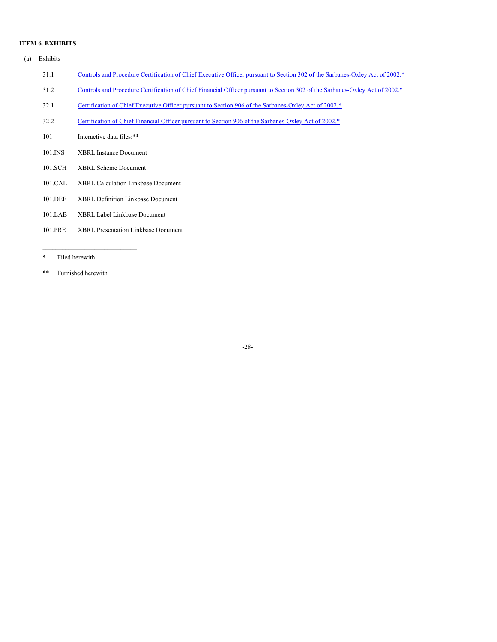## <span id="page-27-0"></span>**ITEM 6. EXHIBITS**

#### (a) Exhibits

- 31.1 Controls and Procedure Certification of Chief Executive Officer pursuant to Section 302 of the [Sarbanes-Oxley](https://s3.amazonaws.com/content.stockpr.com/sec/0001072613-22-000424/exh31-1_18616.htm) Act of 2002.\*
- 31.2 Controls and Procedure Certification of Chief Financial Officer pursuant to Section 302 of the [Sarbanes-Oxley](https://s3.amazonaws.com/content.stockpr.com/sec/0001072613-22-000424/exh31-2_18616.htm) Act of 2002.\*
- 32.1 Certification of Chief Executive Officer pursuant to Section 906 of the [Sarbanes-Oxley](https://s3.amazonaws.com/content.stockpr.com/sec/0001072613-22-000424/exh32-1_18616.htm) Act of 2002.\*
- 32.2 Certification of Chief Financial Officer pursuant to Section 906 of the [Sarbanes-Oxley](https://s3.amazonaws.com/content.stockpr.com/sec/0001072613-22-000424/exh32-2_18616.htm) Act of 2002.\*
- 101 Interactive data files:\*\*
- 101.INS XBRL Instance Document
- 101.SCH XBRL Scheme Document
- 101.CAL XBRL Calculation Linkbase Document
- 101.DEF XBRL Definition Linkbase Document
- 101.LAB XBRL Label Linkbase Document

 $\mathcal{L}_\text{max}$ 

101.PRE XBRL Presentation Linkbase Document

\* Filed herewith

\*\* Furnished herewith

#### -28-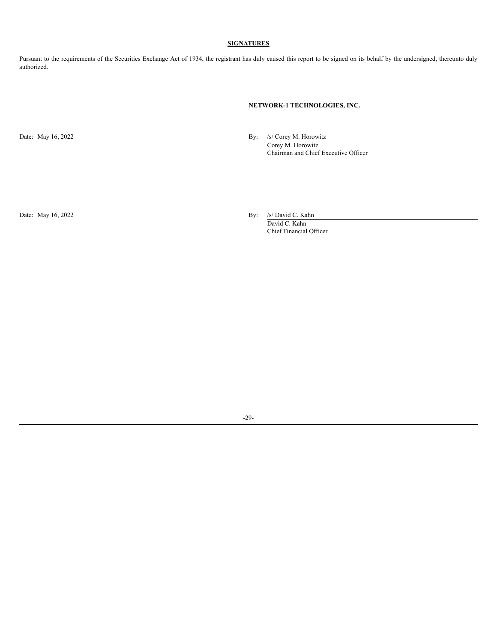## **SIGNATURES**

<span id="page-28-0"></span>Pursuant to the requirements of the Securities Exchange Act of 1934, the registrant has duly caused this report to be signed on its behalf by the undersigned, thereunto duly authorized.

## **NETWORK-1 TECHNOLOGIES, INC.**

Date: May 16, 2022 **By:** /s/ Corey M. Horowitz Corey M. Horowitz Chairman and Chief Executive Officer

Date: May 16, 2022 By: /s/ David C. Kahn David C. Kahn

Chief Financial Officer

-29-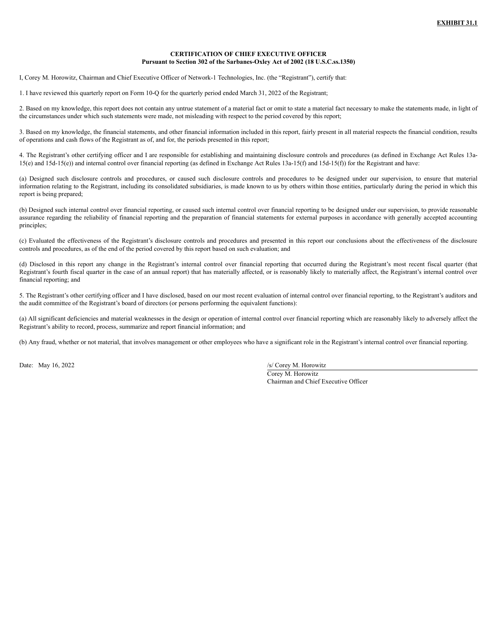#### **CERTIFICATION OF CHIEF EXECUTIVE OFFICER Pursuant to Section 302 of the Sarbanes-Oxley Act of 2002 (18 U.S.C.ss.1350)**

I, Corey M. Horowitz, Chairman and Chief Executive Officer of Network-1 Technologies, Inc. (the "Registrant"), certify that:

1. I have reviewed this quarterly report on Form 10-Q for the quarterly period ended March 31, 2022 of the Registrant;

2. Based on my knowledge, this report does not contain any untrue statement of a material fact or omit to state a material fact necessary to make the statements made, in light of the circumstances under which such statements were made, not misleading with respect to the period covered by this report;

3. Based on my knowledge, the financial statements, and other financial information included in this report, fairly present in all material respects the financial condition, results of operations and cash flows of the Registrant as of, and for, the periods presented in this report;

4. The Registrant's other certifying officer and I are responsible for establishing and maintaining disclosure controls and procedures (as defined in Exchange Act Rules 13a-15(e) and 15d-15(e)) and internal control over financial reporting (as defined in Exchange Act Rules 13a-15(f) and 15d-15(f)) for the Registrant and have:

(a) Designed such disclosure controls and procedures, or caused such disclosure controls and procedures to be designed under our supervision, to ensure that material information relating to the Registrant, including its consolidated subsidiaries, is made known to us by others within those entities, particularly during the period in which this report is being prepared;

(b) Designed such internal control over financial reporting, or caused such internal control over financial reporting to be designed under our supervision, to provide reasonable assurance regarding the reliability of financial reporting and the preparation of financial statements for external purposes in accordance with generally accepted accounting principles;

(c) Evaluated the effectiveness of the Registrant's disclosure controls and procedures and presented in this report our conclusions about the effectiveness of the disclosure controls and procedures, as of the end of the period covered by this report based on such evaluation; and

(d) Disclosed in this report any change in the Registrant's internal control over financial reporting that occurred during the Registrant's most recent fiscal quarter (that Registrant's fourth fiscal quarter in the case of an annual report) that has materially affected, or is reasonably likely to materially affect, the Registrant's internal control over financial reporting; and

5. The Registrant's other certifying officer and I have disclosed, based on our most recent evaluation of internal control over financial reporting, to the Registrant's auditors and the audit committee of the Registrant's board of directors (or persons performing the equivalent functions):

(a) All significant deficiencies and material weaknesses in the design or operation of internal control over financial reporting which are reasonably likely to adversely affect the Registrant's ability to record, process, summarize and report financial information; and

(b) Any fraud, whether or not material, that involves management or other employees who have a significant role in the Registrant's internal control over financial reporting.

Date: May 16, 2022 /s/ Corey M. Horowitz Corey M. Horowitz Chairman and Chief Executive Officer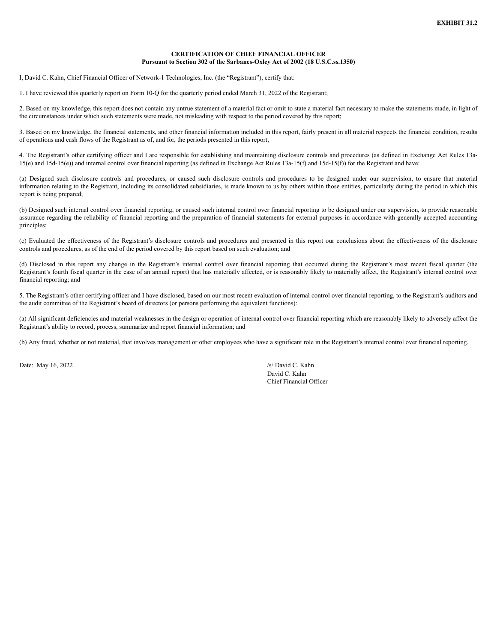## **CERTIFICATION OF CHIEF FINANCIAL OFFICER Pursuant to Section 302 of the Sarbanes-Oxley Act of 2002 (18 U.S.C.ss.1350)**

I, David C. Kahn, Chief Financial Officer of Network-1 Technologies, Inc. (the "Registrant"), certify that:

1. I have reviewed this quarterly report on Form 10-Q for the quarterly period ended March 31, 2022 of the Registrant;

2. Based on my knowledge, this report does not contain any untrue statement of a material fact or omit to state a material fact necessary to make the statements made, in light of the circumstances under which such statements were made, not misleading with respect to the period covered by this report;

3. Based on my knowledge, the financial statements, and other financial information included in this report, fairly present in all material respects the financial condition, results of operations and cash flows of the Registrant as of, and for, the periods presented in this report;

4. The Registrant's other certifying officer and I are responsible for establishing and maintaining disclosure controls and procedures (as defined in Exchange Act Rules 13a-15(e) and 15d-15(e)) and internal control over financial reporting (as defined in Exchange Act Rules 13a-15(f) and 15d-15(f)) for the Registrant and have:

(a) Designed such disclosure controls and procedures, or caused such disclosure controls and procedures to be designed under our supervision, to ensure that material information relating to the Registrant, including its consolidated subsidiaries, is made known to us by others within those entities, particularly during the period in which this report is being prepared;

(b) Designed such internal control over financial reporting, or caused such internal control over financial reporting to be designed under our supervision, to provide reasonable assurance regarding the reliability of financial reporting and the preparation of financial statements for external purposes in accordance with generally accepted accounting principles;

(c) Evaluated the effectiveness of the Registrant's disclosure controls and procedures and presented in this report our conclusions about the effectiveness of the disclosure controls and procedures, as of the end of the period covered by this report based on such evaluation; and

(d) Disclosed in this report any change in the Registrant's internal control over financial reporting that occurred during the Registrant's most recent fiscal quarter (the Registrant's fourth fiscal quarter in the case of an annual report) that has materially affected, or is reasonably likely to materially affect, the Registrant's internal control over financial reporting; and

5. The Registrant's other certifying officer and I have disclosed, based on our most recent evaluation of internal control over financial reporting, to the Registrant's auditors and the audit committee of the Registrant's board of directors (or persons performing the equivalent functions):

(a) All significant deficiencies and material weaknesses in the design or operation of internal control over financial reporting which are reasonably likely to adversely affect the Registrant's ability to record, process, summarize and report financial information; and

(b) Any fraud, whether or not material, that involves management or other employees who have a significant role in the Registrant's internal control over financial reporting.

Date: May 16, 2022 /s/ David C. Kahn

David C. Kahn Chief Financial Officer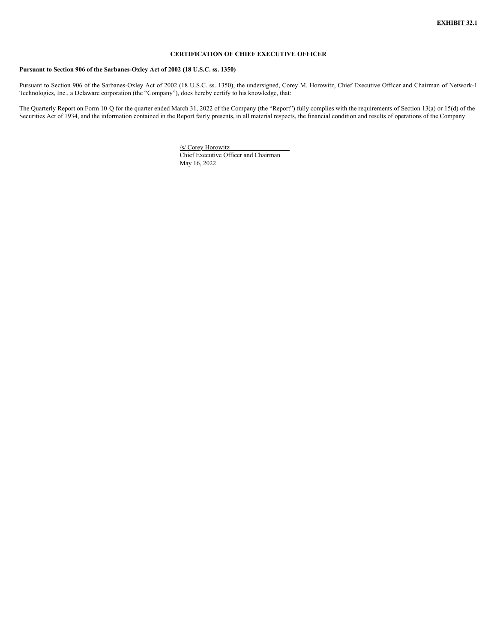## **CERTIFICATION OF CHIEF EXECUTIVE OFFICER**

## **Pursuant to Section 906 of the Sarbanes-Oxley Act of 2002 (18 U.S.C. ss. 1350)**

Pursuant to Section 906 of the Sarbanes-Oxley Act of 2002 (18 U.S.C. ss. 1350), the undersigned, Corey M. Horowitz, Chief Executive Officer and Chairman of Network-1 Technologies, Inc., a Delaware corporation (the "Company"), does hereby certify to his knowledge, that:

The Quarterly Report on Form 10-Q for the quarter ended March 31, 2022 of the Company (the "Report") fully complies with the requirements of Section 13(a) or 15(d) of the Securities Act of 1934, and the information contained in the Report fairly presents, in all material respects, the financial condition and results of operations of the Company.

> /s/ Corey Horowitz Chief Executive Officer and Chairman May 16, 2022